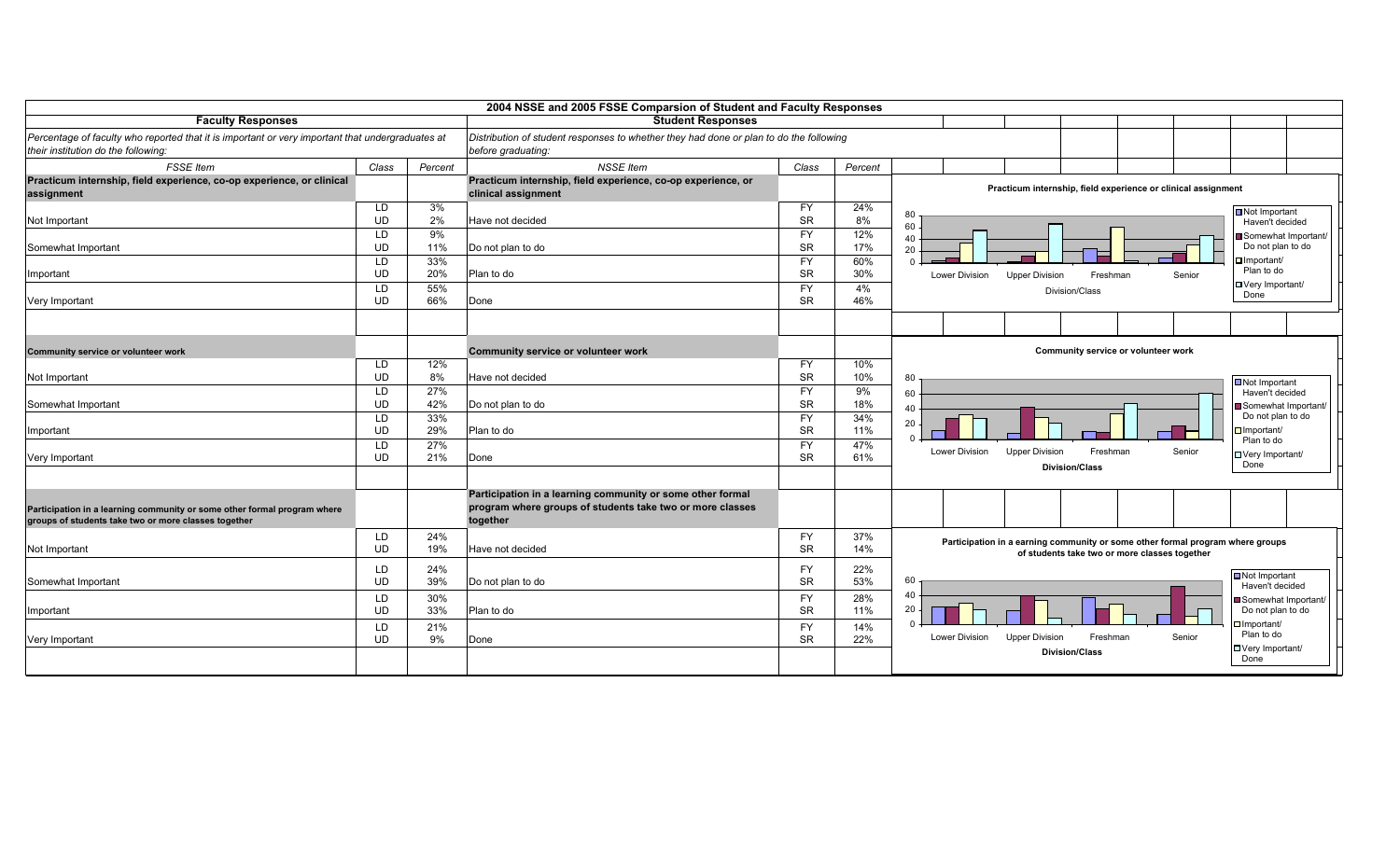|                                                                                                                                         |                 |            | 2004 NSSE and 2005 FSSE Comparsion of Student and Faculty Responses                                          |                        |            |                                                                                                                                 |                                                      |  |
|-----------------------------------------------------------------------------------------------------------------------------------------|-----------------|------------|--------------------------------------------------------------------------------------------------------------|------------------------|------------|---------------------------------------------------------------------------------------------------------------------------------|------------------------------------------------------|--|
| <b>Faculty Responses</b>                                                                                                                |                 |            | <b>Student Responses</b>                                                                                     |                        |            |                                                                                                                                 |                                                      |  |
| Percentage of faculty who reported that it is important or very important that undergraduates at<br>their institution do the following: |                 |            | Distribution of student responses to whether they had done or plan to do the following<br>before graduating: |                        |            |                                                                                                                                 |                                                      |  |
| <b>FSSE</b> Item                                                                                                                        | Class           | Percent    | <b>NSSE</b> Item                                                                                             | Class                  | Percent    |                                                                                                                                 |                                                      |  |
| Practicum internship, field experience, co-op experience, or clinical<br>assignment                                                     |                 |            | Practicum internship, field experience, co-op experience, or<br>clinical assignment                          |                        |            | Practicum internship, field experience or clinical assignment                                                                   |                                                      |  |
| Not Important                                                                                                                           | LD<br><b>UD</b> | 3%<br>2%   | Have not decided                                                                                             | <b>FY</b><br><b>SR</b> | 24%<br>8%  | 80<br>60                                                                                                                        | Not Important<br>Haven't decided                     |  |
| Somewhat Important                                                                                                                      | LD<br><b>UD</b> | 9%<br>11%  | Do not plan to do                                                                                            | <b>FY</b><br><b>SR</b> | 12%<br>17% | 40<br>20                                                                                                                        | Somewhat Important/<br>Do not plan to do             |  |
| Important                                                                                                                               | LD<br><b>UD</b> | 33%<br>20% | Plan to do                                                                                                   | <b>FY</b><br>SR        | 60%<br>30% | <b>Lower Division</b><br><b>Upper Division</b><br>Freshman                                                                      | $\Box$ Important/<br>Plan to do<br>Senior            |  |
| Very Important                                                                                                                          | LD<br><b>UD</b> | 55%<br>66% | Done                                                                                                         | <b>FY</b><br><b>SR</b> | 4%<br>46%  | Division/Class                                                                                                                  | □ Very Important/<br>Done                            |  |
|                                                                                                                                         |                 |            |                                                                                                              |                        |            |                                                                                                                                 |                                                      |  |
| Community service or volunteer work                                                                                                     |                 |            | Community service or volunteer work                                                                          |                        |            | Community service or volunteer work                                                                                             |                                                      |  |
| Not Important                                                                                                                           | LD<br><b>UD</b> | 12%<br>8%  | Have not decided                                                                                             | <b>FY</b><br><b>SR</b> | 10%<br>10% | 80                                                                                                                              | Not Important                                        |  |
| Somewhat Important                                                                                                                      | LD<br><b>UD</b> | 27%<br>42% | Do not plan to do                                                                                            | <b>FY</b><br><b>SR</b> | 9%<br>18%  | 60<br>40                                                                                                                        | Haven't decided<br>Somewhat Important/               |  |
| Important                                                                                                                               | LD<br><b>UD</b> | 33%<br>29% | Plan to do                                                                                                   | <b>FY</b><br><b>SR</b> | 34%<br>11% | 20                                                                                                                              | Do not plan to do<br>$\Box$ Important/<br>Plan to do |  |
| Very Important                                                                                                                          | LD<br><b>UD</b> | 27%<br>21% | Done                                                                                                         | <b>FY</b><br><b>SR</b> | 47%<br>61% | <b>Lower Division</b><br><b>Upper Division</b><br>Freshman<br><b>Division/Class</b>                                             | Senior<br>□ Very Important/<br>Done                  |  |
|                                                                                                                                         |                 |            | Participation in a learning community or some other formal                                                   |                        |            |                                                                                                                                 |                                                      |  |
| Participation in a learning community or some other formal program where<br>groups of students take two or more classes together        |                 |            | program where groups of students take two or more classes<br>together                                        |                        |            |                                                                                                                                 |                                                      |  |
| Not Important                                                                                                                           | LD<br><b>UD</b> | 24%<br>19% | Have not decided                                                                                             | <b>FY</b><br><b>SR</b> | 37%<br>14% | Participation in a earning community or some other formal program where groups<br>of students take two or more classes together |                                                      |  |
| Somewhat Important                                                                                                                      | LD<br><b>UD</b> | 24%<br>39% | Do not plan to do                                                                                            | <b>FY</b><br><b>SR</b> | 22%<br>53% | 60                                                                                                                              | Not Important<br>Haven't decided                     |  |
| Important                                                                                                                               | LD<br><b>UD</b> | 30%<br>33% | Plan to do                                                                                                   | <b>FY</b><br><b>SR</b> | 28%<br>11% | 40<br>20                                                                                                                        | Somewhat Important/<br>Do not plan to do             |  |
| Very Important                                                                                                                          | LD<br><b>UD</b> | 21%<br>9%  | Done                                                                                                         | <b>FY</b><br><b>SR</b> | 14%<br>22% | <b>Lower Division</b><br>Freshman<br><b>Upper Division</b>                                                                      | $\Box$ Important/<br>Plan to do<br>Senior            |  |
|                                                                                                                                         |                 |            |                                                                                                              |                        |            | <b>Division/Class</b>                                                                                                           | □ Very Important/<br>Done                            |  |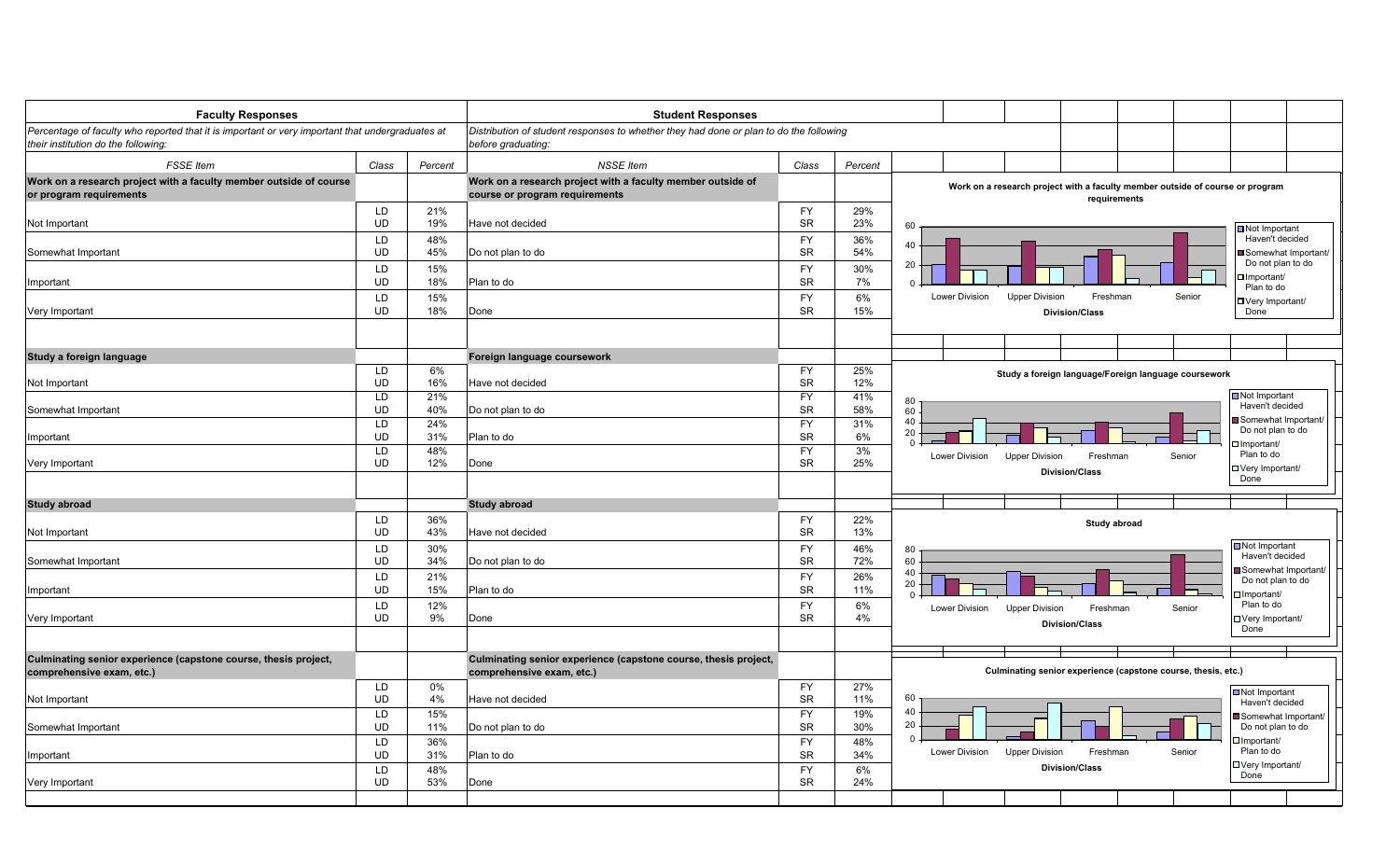| <b>Faculty Responses</b>                                                                                                                |                 |            | <b>Student Responses</b>                                                                                     |                        |            |                                         |                                                                                               |        |                                                 |
|-----------------------------------------------------------------------------------------------------------------------------------------|-----------------|------------|--------------------------------------------------------------------------------------------------------------|------------------------|------------|-----------------------------------------|-----------------------------------------------------------------------------------------------|--------|-------------------------------------------------|
| Percentage of faculty who reported that it is important or very important that undergraduates at<br>their institution do the following: |                 |            | Distribution of student responses to whether they had done or plan to do the following<br>before graduating: |                        |            |                                         |                                                                                               |        |                                                 |
| <b>FSSE</b> Item                                                                                                                        | Class           | Percent    | <b>NSSE</b> Item                                                                                             | Class                  | Percent    |                                         |                                                                                               |        |                                                 |
| Work on a research project with a faculty member outside of course<br>or program requirements                                           |                 |            | Work on a research project with a faculty member outside of<br>course or program requirements                |                        |            |                                         | Work on a research project with a faculty member outside of course or program<br>requirements |        |                                                 |
|                                                                                                                                         | <b>LD</b>       | 21%        |                                                                                                              | <b>FY</b>              | 29%        |                                         |                                                                                               |        |                                                 |
| Not Important                                                                                                                           | <b>UD</b><br>LD | 19%<br>48% | Have not decided                                                                                             | <b>SR</b><br><b>FY</b> | 23%        | 60                                      |                                                                                               |        | Not Important<br>Haven't decided                |
| Somewhat Important                                                                                                                      | <b>UD</b>       | 45%        | Do not plan to do                                                                                            | <b>SR</b>              | 36%<br>54% | 40                                      |                                                                                               |        | Somewhat Important/                             |
|                                                                                                                                         | LD              | 15%        |                                                                                                              | <b>FY</b>              | 30%        | 20                                      |                                                                                               |        | Do not plan to do                               |
| Important                                                                                                                               | UD              | 18%        | Plan to do                                                                                                   | SR                     | 7%         | $\Omega$                                |                                                                                               |        | $\Box$ Important/<br>Plan to do                 |
|                                                                                                                                         | LD              | 15%        |                                                                                                              | <b>FY</b>              | 6%         | Lower Division                          | <b>Upper Division</b><br>Freshman                                                             | Senior | □ Very Important/                               |
| Very Important                                                                                                                          | <b>UD</b>       | 18%        | Done                                                                                                         | <b>SR</b>              | 15%        |                                         | <b>Division/Class</b>                                                                         |        | Done                                            |
|                                                                                                                                         |                 |            |                                                                                                              |                        |            |                                         |                                                                                               |        |                                                 |
| Study a foreign language                                                                                                                |                 |            | Foreign language coursework                                                                                  |                        |            |                                         |                                                                                               |        |                                                 |
|                                                                                                                                         | LD.             | 6%         |                                                                                                              | FY                     | 25%        |                                         | Study a foreign language/Foreign language coursework                                          |        |                                                 |
| Not Important                                                                                                                           | <b>UD</b>       | 16%        | Have not decided                                                                                             | <b>SR</b>              | 12%        |                                         |                                                                                               |        |                                                 |
|                                                                                                                                         | LD              | 21%        |                                                                                                              | <b>FY</b>              | 41%        | $\begin{array}{c} 80 \\ 60 \end{array}$ |                                                                                               |        | $\blacksquare$ Not Important<br>Haven't decided |
| Somewhat Important                                                                                                                      | UD              | 40%        | Do not plan to do                                                                                            | <b>SR</b>              | 58%        | 40                                      |                                                                                               |        | Somewhat Important/                             |
| Important                                                                                                                               | LD<br><b>UD</b> | 24%<br>31% | Plan to do                                                                                                   | <b>FY</b><br><b>SR</b> | 31%<br>6%  | 20                                      |                                                                                               |        | Do not plan to do                               |
|                                                                                                                                         | LD              | 48%        |                                                                                                              | <b>FY</b>              | 3%         |                                         |                                                                                               |        | Important/                                      |
| Very Important                                                                                                                          | <b>UD</b>       | 12%        | Done                                                                                                         | <b>SR</b>              | 25%        | Lower Division                          | Freshman<br><b>Upper Division</b>                                                             | Senior | Plan to do<br>□ Very Important/                 |
|                                                                                                                                         |                 |            |                                                                                                              |                        |            |                                         | <b>Division/Class</b>                                                                         |        | Done                                            |
| <b>Study abroad</b>                                                                                                                     |                 |            | <b>Study abroad</b>                                                                                          |                        |            |                                         |                                                                                               |        |                                                 |
|                                                                                                                                         | LD              | 36%        |                                                                                                              | <b>FY</b>              | 22%        |                                         |                                                                                               |        |                                                 |
| Not Important                                                                                                                           | <b>UD</b>       | 43%        | Have not decided                                                                                             | <b>SR</b>              | 13%        |                                         | Study abroad                                                                                  |        |                                                 |
|                                                                                                                                         | LD              | 30%        |                                                                                                              | <b>FY</b>              | 46%        | 80                                      |                                                                                               |        | Not Important                                   |
| Somewhat Important                                                                                                                      | <b>UD</b>       | 34%        | Do not plan to do                                                                                            | <b>SR</b>              | 72%        | 60                                      |                                                                                               |        | Haven't decided                                 |
|                                                                                                                                         | LD              | 21%        |                                                                                                              | <b>FY</b>              | 26%        | 40                                      |                                                                                               |        | Somewhat Important/<br>Do not plan to do        |
| Important                                                                                                                               | <b>UD</b>       | 15%        | Plan to do                                                                                                   | <b>SR</b>              | 11%        | 20                                      |                                                                                               |        | $\Box$ Important/                               |
|                                                                                                                                         | LD              | 12%        |                                                                                                              | <b>FY</b>              | 6%         | Lower Division                          | Freshman<br><b>Upper Division</b>                                                             | Senior | Plan to do                                      |
| Very Important                                                                                                                          | <b>UD</b>       | 9%         | Done                                                                                                         | <b>SR</b>              | 4%         |                                         | <b>Division/Class</b>                                                                         |        | □ Very Important/<br>Done                       |
|                                                                                                                                         |                 |            |                                                                                                              |                        |            |                                         |                                                                                               |        |                                                 |
| Culminating senior experience (capstone course, thesis project,                                                                         |                 |            | Culminating senior experience (capstone course, thesis project,                                              |                        |            |                                         |                                                                                               |        |                                                 |
| comprehensive exam, etc.)                                                                                                               |                 |            | comprehensive exam, etc.)                                                                                    |                        |            |                                         | Culminating senior experience (capstone course, thesis, etc.)                                 |        |                                                 |
|                                                                                                                                         | LD              | $0\%$      |                                                                                                              | <b>FY</b>              | 27%        |                                         |                                                                                               |        | <b>□</b> Not Important                          |
| Not Important                                                                                                                           | <b>UD</b>       | 4%         | Have not decided                                                                                             | <b>SR</b>              | 11%        | 60                                      |                                                                                               |        | Haven't decided                                 |
|                                                                                                                                         | LD              | 15%        |                                                                                                              | <b>FY</b>              | 19%        | 40                                      |                                                                                               |        | Somewhat Important/                             |
| Somewhat Important                                                                                                                      | <b>UD</b>       | 11%        | Do not plan to do                                                                                            | <b>SR</b>              | 30%        | 20<br>$\Omega$                          |                                                                                               |        | Do not plan to do                               |
|                                                                                                                                         | LD              | 36%        |                                                                                                              | <b>FY</b>              | 48%        | Lower Division                          | <b>Upper Division</b><br>Freshman                                                             | Senior | $\Box$ Important/<br>Plan to do                 |
| Important                                                                                                                               | <b>UD</b><br>LD | 31%        | Plan to do                                                                                                   | <b>SR</b><br><b>FY</b> | 34%        |                                         | <b>Division/Class</b>                                                                         |        | □ Very Important/                               |
| Very Important                                                                                                                          | <b>UD</b>       | 48%<br>53% | Done                                                                                                         | <b>SR</b>              | 6%<br>24%  |                                         |                                                                                               |        | Done                                            |
|                                                                                                                                         |                 |            |                                                                                                              |                        |            |                                         |                                                                                               |        |                                                 |
|                                                                                                                                         |                 |            |                                                                                                              |                        |            |                                         |                                                                                               |        |                                                 |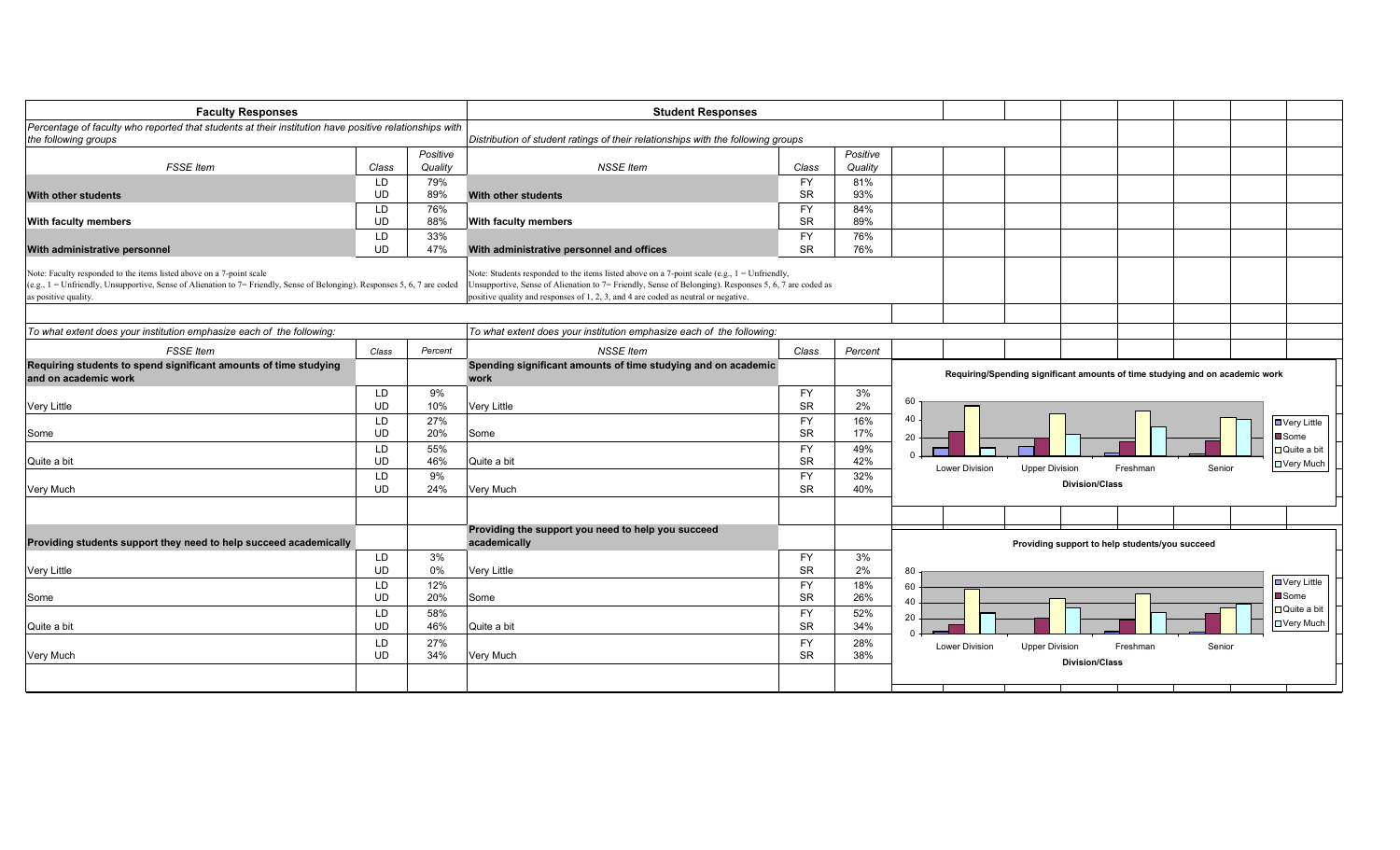| <b>Faculty Responses</b>                                                                                                                                                                                                                               |                        |            | <b>Student Responses</b>                                                                                                                                                                                                                                                                                |                        |            |                       |                                                                                   |
|--------------------------------------------------------------------------------------------------------------------------------------------------------------------------------------------------------------------------------------------------------|------------------------|------------|---------------------------------------------------------------------------------------------------------------------------------------------------------------------------------------------------------------------------------------------------------------------------------------------------------|------------------------|------------|-----------------------|-----------------------------------------------------------------------------------|
| Percentage of faculty who reported that students at their institution have positive relationships with                                                                                                                                                 |                        |            |                                                                                                                                                                                                                                                                                                         |                        |            |                       |                                                                                   |
| the following groups                                                                                                                                                                                                                                   |                        | Positive   | Distribution of student ratings of their relationships with the following groups                                                                                                                                                                                                                        |                        | Positive   |                       |                                                                                   |
| <b>FSSE</b> Item                                                                                                                                                                                                                                       | Class                  | Quality    | <b>NSSE</b> Item                                                                                                                                                                                                                                                                                        | Class                  | Quality    |                       |                                                                                   |
| <b>With other students</b>                                                                                                                                                                                                                             | LD<br><b>UD</b>        | 79%<br>89% | <b>With other students</b>                                                                                                                                                                                                                                                                              | <b>FY</b><br><b>SR</b> | 81%<br>93% |                       |                                                                                   |
| <b>With faculty members</b>                                                                                                                                                                                                                            | LD<br><b>UD</b>        | 76%<br>88% | With faculty members                                                                                                                                                                                                                                                                                    | <b>FY</b><br><b>SR</b> | 84%<br>89% |                       |                                                                                   |
| With administrative personnel                                                                                                                                                                                                                          | <b>LD</b><br><b>UD</b> | 33%<br>47% | With administrative personnel and offices                                                                                                                                                                                                                                                               | <b>FY</b><br><b>SR</b> | 76%<br>76% |                       |                                                                                   |
| Note: Faculty responded to the items listed above on a 7-point scale<br>$(e.g., 1 = \text{Unfortunately, Unsupportive, Sense of Alienation to } 7 = \text{Finally, Sense of Belonging). Responses } 5, 6, 7 \text{ are coded}$<br>as positive quality. |                        |            | Note: Students responded to the items listed above on a 7-point scale (e.g., $1 = \text{Unfortunately},$<br>Unsupportive, Sense of Alienation to 7= Friendly, Sense of Belonging). Responses 5, 6, 7 are coded as<br>positive quality and responses of 1, 2, 3, and 4 are coded as neutral or negative. |                        |            |                       |                                                                                   |
| To what extent does your institution emphasize each of the following:                                                                                                                                                                                  |                        |            | To what extent does your institution emphasize each of the following:                                                                                                                                                                                                                                   |                        |            |                       |                                                                                   |
| <b>FSSE</b> Item                                                                                                                                                                                                                                       | Class                  | Percent    | <b>NSSE</b> Item                                                                                                                                                                                                                                                                                        | Class                  | Percent    |                       |                                                                                   |
| Requiring students to spend significant amounts of time studying<br>and on academic work                                                                                                                                                               |                        |            | Spending significant amounts of time studying and on academic<br>work                                                                                                                                                                                                                                   |                        |            |                       | Requiring/Spending significant amounts of time studying and on academic work      |
| <b>Very Little</b>                                                                                                                                                                                                                                     | LD<br><b>UD</b>        | 9%<br>10%  | Very Little                                                                                                                                                                                                                                                                                             | <b>FY</b><br><b>SR</b> | 3%<br>2%   | 60                    |                                                                                   |
| Some                                                                                                                                                                                                                                                   | LD<br><b>UD</b>        | 27%<br>20% | Some                                                                                                                                                                                                                                                                                                    | <b>FY</b><br><b>SR</b> | 16%<br>17% | 40<br>20              | ■ Very Little<br>■ Some                                                           |
| Quite a bit                                                                                                                                                                                                                                            | LD<br><b>UD</b>        | 55%<br>46% | Quite a bit                                                                                                                                                                                                                                                                                             | <b>FY</b><br><b>SR</b> | 49%<br>42% | <b>Lower Division</b> | □ Quite a bit<br><b>DVery Much</b><br>Senior<br><b>Upper Division</b><br>Freshman |
| Very Much                                                                                                                                                                                                                                              | LD<br><b>UD</b>        | 9%<br>24%  | Very Much                                                                                                                                                                                                                                                                                               | <b>FY</b><br><b>SR</b> | 32%<br>40% |                       | <b>Division/Class</b>                                                             |
|                                                                                                                                                                                                                                                        |                        |            |                                                                                                                                                                                                                                                                                                         |                        |            |                       |                                                                                   |
| Providing students support they need to help succeed academically                                                                                                                                                                                      |                        |            | Providing the support you need to help you succeed<br>academically                                                                                                                                                                                                                                      |                        |            |                       | Providing support to help students/you succeed                                    |
| <b>Very Little</b>                                                                                                                                                                                                                                     | LD<br><b>UD</b>        | 3%<br>0%   | Very Little                                                                                                                                                                                                                                                                                             | <b>FY</b><br><b>SR</b> | 3%<br>2%   | 80                    |                                                                                   |
| Some                                                                                                                                                                                                                                                   | LD<br><b>UD</b>        | 12%<br>20% | Some                                                                                                                                                                                                                                                                                                    | <b>FY</b><br><b>SR</b> | 18%<br>26% | 60<br>40              | ■ Very Little<br>$\blacksquare$ Some                                              |
| Quite a bit                                                                                                                                                                                                                                            | LD<br><b>UD</b>        | 58%<br>46% | Quite a bit                                                                                                                                                                                                                                                                                             | <b>FY</b><br><b>SR</b> | 52%<br>34% | 20                    | $\Box$ Quite a bit<br>□ Very Much                                                 |
| Very Much                                                                                                                                                                                                                                              | LD.<br><b>UD</b>       | 27%<br>34% | Very Much                                                                                                                                                                                                                                                                                               | <b>FY</b><br><b>SR</b> | 28%<br>38% | Lower Division        | Freshman<br><b>Upper Division</b><br>Senior<br><b>Division/Class</b>              |
|                                                                                                                                                                                                                                                        |                        |            |                                                                                                                                                                                                                                                                                                         |                        |            |                       |                                                                                   |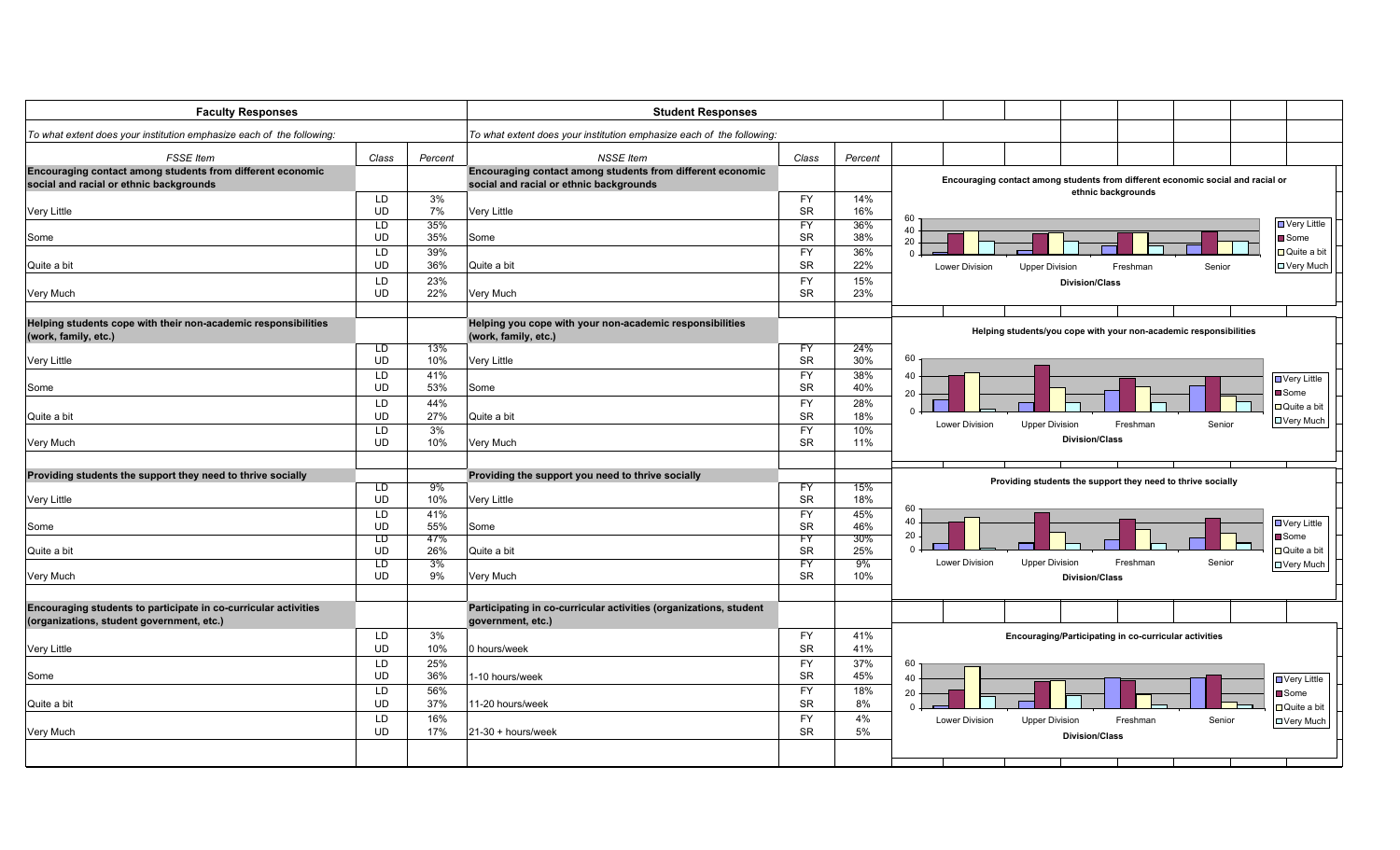| <b>Faculty Responses</b>                                              |                        |            | <b>Student Responses</b>                                              |                        |            |                       |                                                                                 |                    |        |                              |
|-----------------------------------------------------------------------|------------------------|------------|-----------------------------------------------------------------------|------------------------|------------|-----------------------|---------------------------------------------------------------------------------|--------------------|--------|------------------------------|
| To what extent does your institution emphasize each of the following: |                        |            | To what extent does your institution emphasize each of the following: |                        |            |                       |                                                                                 |                    |        |                              |
| <b>FSSE</b> Item                                                      | Class                  | Percent    | <b>NSSE</b> Item                                                      | Class                  | Percent    |                       |                                                                                 |                    |        |                              |
| Encouraging contact among students from different economic            |                        |            | Encouraging contact among students from different economic            |                        |            |                       |                                                                                 |                    |        |                              |
| social and racial or ethnic backgrounds                               |                        |            | social and racial or ethnic backgrounds                               |                        |            |                       | Encouraging contact among students from different economic social and racial or | ethnic backgrounds |        |                              |
| Very Little                                                           | LD<br>UD               | 3%<br>7%   | Very Little                                                           | <b>FY</b><br><b>SR</b> | 14%<br>16% |                       |                                                                                 |                    |        |                              |
|                                                                       | LD                     | 35%        |                                                                       | FY                     | 36%        | 60                    |                                                                                 |                    |        | ■ Very Little                |
| Some                                                                  | <b>UD</b>              | 35%        | Some                                                                  | <b>SR</b>              | 38%        | 40<br>20              |                                                                                 |                    |        | Some                         |
|                                                                       | LD                     | 39%        |                                                                       | FY                     | 36%        | $\Omega$              |                                                                                 |                    |        | □ Quite a bit                |
| Quite a bit                                                           | <b>UD</b>              | 36%        | Quite a bit                                                           | <b>SR</b>              | 22%        | Lower Division        | <b>Upper Division</b>                                                           | Freshmar           | Senior | <b>□ Very Much</b>           |
|                                                                       | LD                     | 23%        |                                                                       | <b>FY</b>              | 15%        |                       | <b>Division/Class</b>                                                           |                    |        |                              |
| Very Much                                                             | <b>UD</b>              | 22%        | Very Much                                                             | <b>SR</b>              | 23%        |                       |                                                                                 |                    |        |                              |
| Helping students cope with their non-academic responsibilities        |                        |            | Helping you cope with your non-academic responsibilities              |                        |            |                       |                                                                                 |                    |        |                              |
| (work, family, etc.)                                                  |                        |            | (work, family, etc.)                                                  |                        |            |                       | Helping students/you cope with your non-academic responsibilities               |                    |        |                              |
|                                                                       | ED                     | 13%        |                                                                       | FY                     | 24%        |                       |                                                                                 |                    |        |                              |
| <b>Very Little</b>                                                    | <b>UD</b>              | 10%        | Very Little                                                           | <b>SR</b>              | 30%        | 60                    |                                                                                 |                    |        |                              |
|                                                                       | LD<br>UD               | 41%        |                                                                       | <b>FY</b><br><b>SR</b> | 38%        | 40                    |                                                                                 |                    |        | <b>D</b> Very Little         |
| Some                                                                  |                        | 53%        | Some                                                                  |                        | 40%        | 20                    |                                                                                 |                    |        | <b>■</b> Some                |
| Quite a bit                                                           | LD<br><b>UD</b>        | 44%<br>27% | Quite a bit                                                           | FY<br><b>SR</b>        | 28%<br>18% | $\Omega$              |                                                                                 |                    |        | □ Quite a bit                |
|                                                                       | LD                     | 3%         |                                                                       | <b>FY</b>              | 10%        | Lower Division        | <b>Upper Division</b>                                                           | Freshman           | Senior | □ Very Much                  |
| Very Much                                                             | <b>UD</b>              | 10%        | Very Much                                                             | <b>SR</b>              | 11%        |                       | <b>Division/Class</b>                                                           |                    |        |                              |
|                                                                       |                        |            |                                                                       |                        |            |                       |                                                                                 |                    |        |                              |
| Providing students the support they need to thrive socially           |                        |            | Providing the support you need to thrive socially                     |                        |            |                       | Providing students the support they need to thrive socially                     |                    |        |                              |
|                                                                       | LD.                    | 9%         |                                                                       | FY                     | 15%        |                       |                                                                                 |                    |        |                              |
| <b>Very Little</b>                                                    | <b>UD</b><br>LD        | 10%<br>41% | Very Little                                                           | <b>SR</b><br><b>FY</b> | 18%<br>45% | 60                    |                                                                                 |                    |        |                              |
| Some                                                                  | <b>UD</b>              | 55%        | Some                                                                  | <b>SR</b>              | 46%        | 40                    |                                                                                 |                    |        | <b>D</b> Very Little         |
|                                                                       | LD                     | 47%        |                                                                       | FY                     | 30%        | 20                    |                                                                                 |                    |        | <b>■</b> Some                |
| Quite a bit                                                           | <b>UD</b>              | 26%        | Quite a bit                                                           | <b>SR</b>              | 25%        | $\Omega$              |                                                                                 |                    |        | Quite a bit                  |
| Very Much                                                             | $\overline{L}$<br>UD   | 3%<br>9%   | Very Much                                                             | FY<br><b>SR</b>        | 9%<br>10%  | Lower Division        | <b>Upper Division</b><br><b>Division/Class</b>                                  | Freshman           | Senior | <b>D</b> Very Much           |
|                                                                       |                        |            |                                                                       |                        |            |                       |                                                                                 |                    |        |                              |
| Encouraging students to participate in co-curricular activities       |                        |            | Participating in co-curricular activities (organizations, student     |                        |            |                       |                                                                                 |                    |        |                              |
| (organizations, student government, etc.)                             |                        |            | government, etc.)                                                     |                        |            |                       |                                                                                 |                    |        |                              |
|                                                                       | LD                     | 3%         |                                                                       | <b>FY</b>              | 41%        |                       | Encouraging/Participating in co-curricular activities                           |                    |        |                              |
| Very Little                                                           | <b>UD</b>              | 10%        | 0 hours/week                                                          | <b>SR</b>              | 41%        |                       |                                                                                 |                    |        |                              |
|                                                                       | LD                     | 25%        |                                                                       | <b>FY</b>              | 37%        | 60                    |                                                                                 |                    |        |                              |
| Some                                                                  | <b>UD</b>              | 36%        | 1-10 hours/week                                                       | <b>SR</b>              | 45%        | 40                    |                                                                                 |                    |        | □ Very Little                |
| Quite a bit                                                           | <b>LD</b><br><b>UD</b> | 56%<br>37% | 11-20 hours/week                                                      | <b>FY</b><br><b>SR</b> | 18%<br>8%  | 20                    |                                                                                 |                    |        | ■Some                        |
|                                                                       | LD                     | 16%        |                                                                       | <b>FY</b>              | 4%         | <b>Lower Division</b> | <b>Upper Division</b>                                                           | Freshman           | Senior | □ Quite a bit<br>□ Very Much |
| Very Much                                                             | <b>UD</b>              | 17%        | $21-30 + hours$ /week                                                 | <b>SR</b>              | 5%         |                       | <b>Division/Class</b>                                                           |                    |        |                              |
|                                                                       |                        |            |                                                                       |                        |            |                       |                                                                                 |                    |        |                              |
|                                                                       |                        |            |                                                                       |                        |            |                       |                                                                                 |                    |        |                              |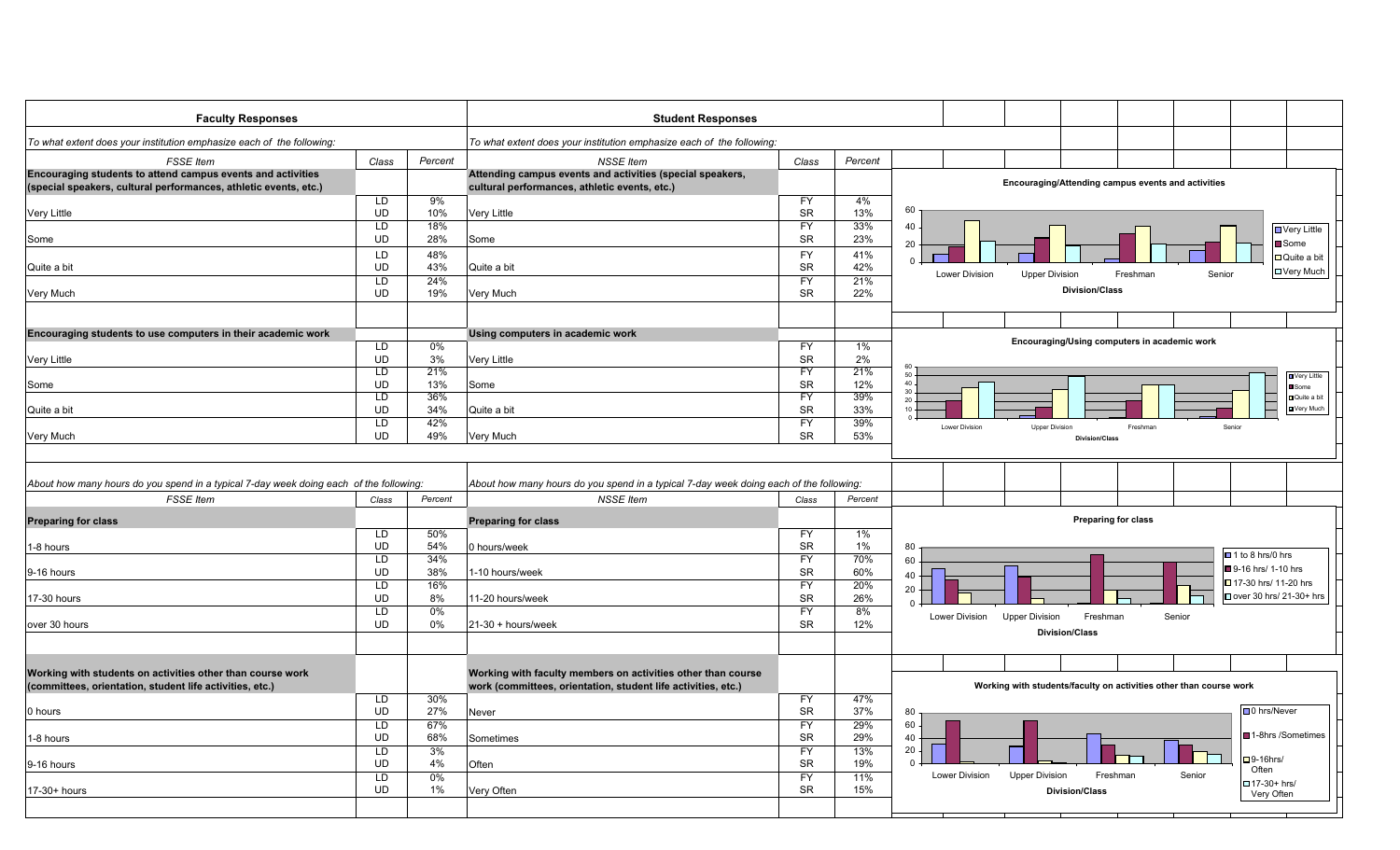| <b>Faculty Responses</b>                                                                                                                                                                            |                                                                                   |                                                              | <b>Student Responses</b>                                                                                                                                                                                              |                                                                                                               |                                                                 |                                                                                                                                                                                                                                                            |
|-----------------------------------------------------------------------------------------------------------------------------------------------------------------------------------------------------|-----------------------------------------------------------------------------------|--------------------------------------------------------------|-----------------------------------------------------------------------------------------------------------------------------------------------------------------------------------------------------------------------|---------------------------------------------------------------------------------------------------------------|-----------------------------------------------------------------|------------------------------------------------------------------------------------------------------------------------------------------------------------------------------------------------------------------------------------------------------------|
| To what extent does your institution emphasize each of the following:                                                                                                                               |                                                                                   |                                                              | To what extent does your institution emphasize each of the following:                                                                                                                                                 |                                                                                                               |                                                                 |                                                                                                                                                                                                                                                            |
| <b>FSSE</b> Item                                                                                                                                                                                    | Class                                                                             | Percent                                                      | <b>NSSE Item</b>                                                                                                                                                                                                      | Class                                                                                                         | Percent                                                         |                                                                                                                                                                                                                                                            |
| Encouraging students to attend campus events and activities                                                                                                                                         |                                                                                   |                                                              | Attending campus events and activities (special speakers,                                                                                                                                                             |                                                                                                               |                                                                 |                                                                                                                                                                                                                                                            |
| (special speakers, cultural performances, athletic events, etc.)                                                                                                                                    |                                                                                   |                                                              | cultural performances, athletic events, etc.)                                                                                                                                                                         |                                                                                                               |                                                                 | Encouraging/Attending campus events and activities                                                                                                                                                                                                         |
|                                                                                                                                                                                                     | LD                                                                                | 9%                                                           |                                                                                                                                                                                                                       | <b>FY</b>                                                                                                     | 4%                                                              |                                                                                                                                                                                                                                                            |
| Very Little                                                                                                                                                                                         | <b>UD</b>                                                                         | 10%                                                          | Very Little                                                                                                                                                                                                           | <b>SR</b>                                                                                                     | 13%                                                             | 60                                                                                                                                                                                                                                                         |
|                                                                                                                                                                                                     | LD                                                                                | 18%                                                          |                                                                                                                                                                                                                       | <b>FY</b>                                                                                                     | 33%                                                             | 40                                                                                                                                                                                                                                                         |
| Some                                                                                                                                                                                                | UD                                                                                | 28%                                                          | Some                                                                                                                                                                                                                  | SR                                                                                                            | 23%                                                             | $\blacksquare$ Very Little                                                                                                                                                                                                                                 |
|                                                                                                                                                                                                     | LD                                                                                | 48%                                                          |                                                                                                                                                                                                                       | <b>FY</b>                                                                                                     | 41%                                                             | ■ Some<br>20                                                                                                                                                                                                                                               |
| Quite a bit                                                                                                                                                                                         | <b>UD</b>                                                                         | 43%                                                          | Quite a bit                                                                                                                                                                                                           | <b>SR</b>                                                                                                     | 42%                                                             | □ Quite a bit<br>$\Omega$                                                                                                                                                                                                                                  |
|                                                                                                                                                                                                     | $\overline{LD}$                                                                   | 24%                                                          |                                                                                                                                                                                                                       | <b>FY</b>                                                                                                     | 21%                                                             | <b>□ Very Much</b><br><b>Lower Division</b><br><b>Upper Division</b><br>Freshman<br>Senior                                                                                                                                                                 |
|                                                                                                                                                                                                     | <b>UD</b>                                                                         | 19%                                                          | <b>Very Much</b>                                                                                                                                                                                                      | <b>SR</b>                                                                                                     | 22%                                                             | <b>Division/Class</b>                                                                                                                                                                                                                                      |
| Very Much                                                                                                                                                                                           |                                                                                   |                                                              |                                                                                                                                                                                                                       |                                                                                                               |                                                                 |                                                                                                                                                                                                                                                            |
|                                                                                                                                                                                                     |                                                                                   |                                                              |                                                                                                                                                                                                                       |                                                                                                               |                                                                 |                                                                                                                                                                                                                                                            |
| Encouraging students to use computers in their academic work                                                                                                                                        |                                                                                   |                                                              | Using computers in academic work                                                                                                                                                                                      |                                                                                                               |                                                                 | Encouraging/Using computers in academic work                                                                                                                                                                                                               |
|                                                                                                                                                                                                     | LD                                                                                | 0%                                                           |                                                                                                                                                                                                                       | <b>FY</b>                                                                                                     | 1%                                                              |                                                                                                                                                                                                                                                            |
| Very Little                                                                                                                                                                                         | <b>UD</b>                                                                         | 3%                                                           | <b>Very Little</b>                                                                                                                                                                                                    | <b>SR</b>                                                                                                     | 2%                                                              | 60                                                                                                                                                                                                                                                         |
|                                                                                                                                                                                                     | LD                                                                                | 21%                                                          |                                                                                                                                                                                                                       | FY                                                                                                            | 21%                                                             | 50<br>Very Little<br>$40 -$                                                                                                                                                                                                                                |
| Some                                                                                                                                                                                                | UD                                                                                | 13%                                                          | Some                                                                                                                                                                                                                  | SR                                                                                                            | 12%                                                             | Some<br>$30 -$                                                                                                                                                                                                                                             |
|                                                                                                                                                                                                     | LD                                                                                | 36%                                                          |                                                                                                                                                                                                                       | FY                                                                                                            | 39%                                                             | Quite a bit<br>$20 -$<br>Very Much<br>10                                                                                                                                                                                                                   |
| Quite a bit                                                                                                                                                                                         | <b>UD</b>                                                                         | 34%                                                          | Quite a bit                                                                                                                                                                                                           | <b>SR</b>                                                                                                     | 33%                                                             |                                                                                                                                                                                                                                                            |
|                                                                                                                                                                                                     | LD                                                                                | 42%                                                          |                                                                                                                                                                                                                       | <b>FY</b>                                                                                                     | 39%                                                             | Lower Division<br><b>Upper Division</b><br>Freshman<br>Senior                                                                                                                                                                                              |
| Very Much                                                                                                                                                                                           | <b>UD</b>                                                                         | 49%                                                          | <b>Very Much</b>                                                                                                                                                                                                      | SR                                                                                                            | 53%                                                             | <b>Division/Class</b>                                                                                                                                                                                                                                      |
| About how many hours do you spend in a typical 7-day week doing each of the following:<br><b>FSSE</b> Item<br><b>Preparing for class</b><br>1-8 hours<br>9-16 hours<br>17-30 hours<br>over 30 hours | Class<br>LD<br><b>UD</b><br>LD<br><b>UD</b><br>LD<br><b>UD</b><br>LD<br><b>UD</b> | Percent<br>50%<br>54%<br>34%<br>38%<br>16%<br>8%<br>0%<br>0% | About how many hours do you spend in a typical 7-day week doing each of the following:<br><b>NSSE Item</b><br><b>Preparing for class</b><br>0 hours/week<br>1-10 hours/week<br>11-20 hours/week<br>21-30 + hours/week | Class<br><b>FY</b><br><b>SR</b><br><b>FY</b><br><b>SR</b><br><b>FY</b><br><b>SR</b><br><b>FY</b><br><b>SR</b> | Percent<br>1%<br>$1\%$<br>70%<br>60%<br>20%<br>26%<br>8%<br>12% | <b>Preparing for class</b><br>80<br>■1 to 8 hrs/0 hrs<br>60<br>9-16 hrs/ 1-10 hrs<br>40<br>□ 17-30 hrs/ 11-20 hrs<br>20<br>□ over 30 hrs/ 21-30+ hrs<br>$\Omega$<br>Lower Division<br><b>Upper Division</b><br>Freshman<br>Senior<br><b>Division/Class</b> |
| Working with students on activities other than course work<br>(committees, orientation, student life activities, etc.)                                                                              |                                                                                   |                                                              | Working with faculty members on activities other than course<br>work (committees, orientation, student life activities, etc.)                                                                                         |                                                                                                               |                                                                 | Working with students/faculty on activities other than course work                                                                                                                                                                                         |
|                                                                                                                                                                                                     | LD                                                                                | 30%                                                          |                                                                                                                                                                                                                       | <b>FY</b>                                                                                                     | 47%                                                             | $\Box$ 0 hrs/Never                                                                                                                                                                                                                                         |
| 0 hours                                                                                                                                                                                             | <b>UD</b><br>LD                                                                   | 27%                                                          | Never                                                                                                                                                                                                                 | SR                                                                                                            | 37%<br>29%                                                      | 80                                                                                                                                                                                                                                                         |
|                                                                                                                                                                                                     |                                                                                   | 67%                                                          |                                                                                                                                                                                                                       | FY                                                                                                            |                                                                 | 60<br>■1-8hrs /Sometimes                                                                                                                                                                                                                                   |
| 1-8 hours                                                                                                                                                                                           | UD<br>LD                                                                          | 68%                                                          | Sometimes                                                                                                                                                                                                             | <b>SR</b><br><b>FY</b>                                                                                        | 29%                                                             | 40<br>20                                                                                                                                                                                                                                                   |
|                                                                                                                                                                                                     | <b>UD</b>                                                                         | 3%                                                           |                                                                                                                                                                                                                       | <b>SR</b>                                                                                                     | 13%                                                             | $\Box$ 9-16hrs/<br>$\Omega$                                                                                                                                                                                                                                |
| 9-16 hours                                                                                                                                                                                          |                                                                                   | 4%                                                           | Often                                                                                                                                                                                                                 |                                                                                                               | 19%                                                             | Often<br><b>Lower Division</b><br><b>Upper Division</b><br>Freshman<br>Senior                                                                                                                                                                              |
|                                                                                                                                                                                                     | $\overline{LD}$<br><b>UD</b>                                                      | $0\%$                                                        |                                                                                                                                                                                                                       | <b>FY</b><br><b>SR</b>                                                                                        | 11%                                                             | □ 17-30+ hrs/                                                                                                                                                                                                                                              |
| 17-30+ hours                                                                                                                                                                                        |                                                                                   | 1%                                                           | Very Often                                                                                                                                                                                                            |                                                                                                               | 15%                                                             | <b>Division/Class</b><br>Very Often                                                                                                                                                                                                                        |
|                                                                                                                                                                                                     |                                                                                   |                                                              |                                                                                                                                                                                                                       |                                                                                                               |                                                                 |                                                                                                                                                                                                                                                            |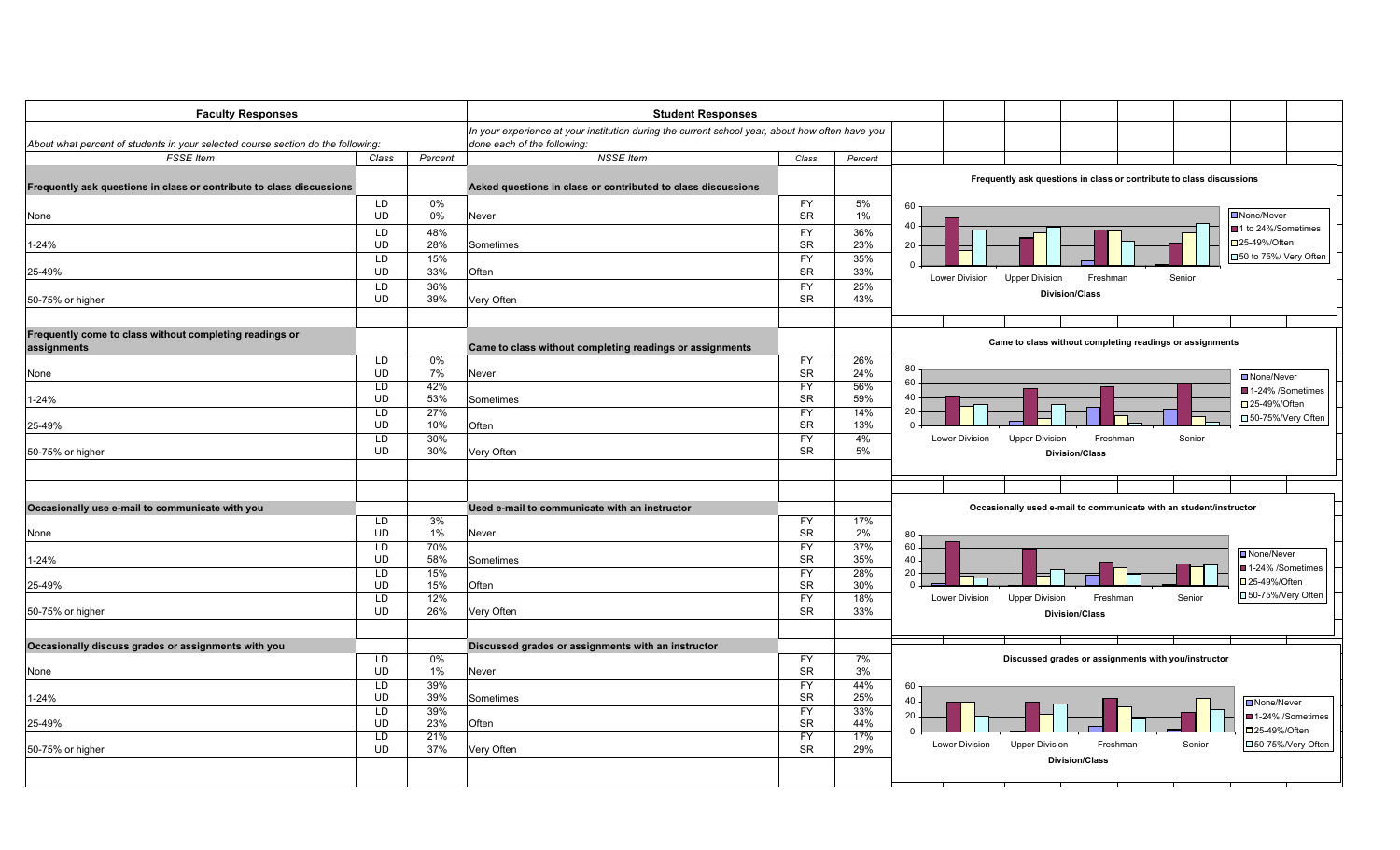| <b>Faculty Responses</b>                                                         |                        |            | <b>Student Responses</b>                                                                        |                        |            |                       |                                                                      |          |        |                                       |
|----------------------------------------------------------------------------------|------------------------|------------|-------------------------------------------------------------------------------------------------|------------------------|------------|-----------------------|----------------------------------------------------------------------|----------|--------|---------------------------------------|
|                                                                                  |                        |            | In your experience at your institution during the current school year, about how often have you |                        |            |                       |                                                                      |          |        |                                       |
| About what percent of students in your selected course section do the following: |                        |            | done each of the following:                                                                     |                        |            |                       |                                                                      |          |        |                                       |
| <b>FSSE</b> Item                                                                 | Class                  | Percent    | <b>NSSE Item</b>                                                                                | Class                  | Percent    |                       |                                                                      |          |        |                                       |
|                                                                                  |                        |            |                                                                                                 |                        |            |                       | Frequently ask questions in class or contribute to class discussions |          |        |                                       |
| Frequently ask questions in class or contribute to class discussions             |                        |            | Asked questions in class or contributed to class discussions                                    |                        |            |                       |                                                                      |          |        |                                       |
|                                                                                  | LD                     | 0%         |                                                                                                 | <b>FY</b>              | 5%         | 60                    |                                                                      |          |        |                                       |
| None                                                                             | <b>UD</b>              | 0%         | Never                                                                                           | <b>SR</b>              | $1\%$      | 40                    |                                                                      |          |        | □ None/Never                          |
|                                                                                  | <b>LD</b>              | 48%        |                                                                                                 | <b>FY</b>              | 36%        |                       |                                                                      |          |        | ■1 to 24%/Sometimes<br>□ 25-49%/Often |
| $-24%$                                                                           | <b>UD</b>              | 28%        | Sometimes                                                                                       | <b>SR</b>              | 23%        | 20                    |                                                                      |          |        | □ 50 to 75%/ Very Often               |
|                                                                                  | <b>LD</b><br><b>UD</b> | 15%<br>33% | Often                                                                                           | <b>FY</b><br><b>SR</b> | 35%<br>33% | $\Omega$              |                                                                      |          |        |                                       |
| 25-49%                                                                           | <b>LD</b>              | 36%        |                                                                                                 | <b>FY</b>              | 25%        | Lower Division        | <b>Upper Division</b><br>Freshman                                    |          | Senior |                                       |
| 50-75% or higher                                                                 | <b>UD</b>              | 39%        | Very Often                                                                                      | <b>SR</b>              | 43%        |                       | <b>Division/Class</b>                                                |          |        |                                       |
|                                                                                  |                        |            |                                                                                                 |                        |            |                       |                                                                      |          |        |                                       |
|                                                                                  |                        |            |                                                                                                 |                        |            |                       |                                                                      |          |        |                                       |
| Frequently come to class without completing readings or                          |                        |            |                                                                                                 |                        |            |                       | Came to class without completing readings or assignments             |          |        |                                       |
| assignments                                                                      | LD                     | 0%         | Came to class without completing readings or assignments                                        | <b>FY</b>              | 26%        |                       |                                                                      |          |        |                                       |
| None                                                                             | <b>UD</b>              | 7%         | Never                                                                                           | <b>SR</b>              | 24%        | 80                    |                                                                      |          |        |                                       |
|                                                                                  | <b>LD</b>              | 42%        |                                                                                                 | <b>FY</b>              | 56%        | 60                    |                                                                      |          |        | ■ None/Never<br>■ 1-24% /Sometimes    |
| 1-24%                                                                            | <b>UD</b>              | 53%        | Sometimes                                                                                       | <b>SR</b>              | 59%        | 40                    |                                                                      |          |        | □ 25-49%/Often                        |
|                                                                                  | LD                     | 27%        |                                                                                                 | <b>FY</b>              | 14%        | 20                    |                                                                      |          |        | □ 50-75%/Very Often                   |
| 25-49%                                                                           | <b>UD</b>              | 10%        | Often                                                                                           | <b>SR</b>              | 13%        | $\Omega$              |                                                                      |          |        |                                       |
|                                                                                  | <b>LD</b>              | 30%        |                                                                                                 | <b>FY</b>              | 4%         | <b>Lower Division</b> | <b>Upper Division</b>                                                | Freshman | Senior |                                       |
| 50-75% or higher                                                                 | <b>UD</b>              | 30%        | Very Often                                                                                      | <b>SR</b>              | 5%         |                       | <b>Division/Class</b>                                                |          |        |                                       |
|                                                                                  |                        |            |                                                                                                 |                        |            |                       |                                                                      |          |        |                                       |
|                                                                                  |                        |            |                                                                                                 |                        |            |                       |                                                                      |          |        |                                       |
| Occasionally use e-mail to communicate with you                                  |                        |            | Used e-mail to communicate with an instructor                                                   |                        |            |                       | Occasionally used e-mail to communicate with an student/instructor   |          |        |                                       |
|                                                                                  | <b>LD</b>              | 3%         |                                                                                                 | <b>FY</b>              | 17%        |                       |                                                                      |          |        |                                       |
| None                                                                             | <b>UD</b>              | 1%         | Never                                                                                           | <b>SR</b>              | 2%         | 80                    |                                                                      |          |        |                                       |
|                                                                                  | <b>LD</b>              | 70%        |                                                                                                 | <b>FY</b>              | 37%        | 60                    |                                                                      |          |        | <b>□</b> None/Never                   |
| 1-24%                                                                            | <b>UD</b>              | 58%        | Sometimes                                                                                       | <b>SR</b>              | 35%        | 40                    |                                                                      |          |        | ■1-24% /Sometimes                     |
| 25-49%                                                                           | LD<br><b>UD</b>        | 15%<br>15% | Often                                                                                           | <b>FY</b><br><b>SR</b> | 28%<br>30% | 20<br>$\Omega$        |                                                                      |          |        | □ 25-49%/Often                        |
|                                                                                  | LD.                    | 12%        |                                                                                                 | <b>FY</b>              | 18%        | <b>Lower Division</b> | <b>Upper Division</b>                                                | Freshman | Senior | □50-75%/Very Often                    |
| 50-75% or higher                                                                 | <b>UD</b>              | 26%        | Very Often                                                                                      | <b>SR</b>              | 33%        |                       | <b>Division/Class</b>                                                |          |        |                                       |
|                                                                                  |                        |            |                                                                                                 |                        |            |                       |                                                                      |          |        |                                       |
| Occasionally discuss grades or assignments with you                              |                        |            | Discussed grades or assignments with an instructor                                              |                        |            |                       |                                                                      |          |        |                                       |
|                                                                                  | LD                     | $0\%$      |                                                                                                 | <b>FY</b>              | 7%         |                       | Discussed grades or assignments with you/instructor                  |          |        |                                       |
| None                                                                             | <b>UD</b>              | $1\%$      | Never                                                                                           | <b>SR</b>              | 3%         |                       |                                                                      |          |        |                                       |
|                                                                                  | LD                     | 39%        |                                                                                                 | $\overline{FY}$        | 44%        | 60                    |                                                                      |          |        |                                       |
| 1-24%                                                                            | <b>UD</b>              | 39%        | Sometimes                                                                                       | <b>SR</b>              | 25%        | 40                    |                                                                      |          |        | □ None/Never                          |
|                                                                                  | <b>LD</b>              | 39%        |                                                                                                 | <b>FY</b>              | 33%        | 20                    |                                                                      |          |        | ■1-24% /Sometimes                     |
| 25-49%                                                                           | <b>UD</b>              | 23%        | Often                                                                                           | <b>SR</b>              | 44%        | $\Omega$              |                                                                      |          |        | □25-49%/Often                         |
|                                                                                  | <b>LD</b>              | 21%        |                                                                                                 | <b>FY</b>              | 17%        | Lower Division        | <b>Upper Division</b>                                                | Freshman | Senior | □50-75%/Very Often                    |
| 50-75% or higher                                                                 | <b>UD</b>              | 37%        | Very Often                                                                                      | SR                     | 29%        |                       | <b>Division/Class</b>                                                |          |        |                                       |
|                                                                                  |                        |            |                                                                                                 |                        |            |                       |                                                                      |          |        |                                       |
|                                                                                  |                        |            |                                                                                                 |                        |            |                       |                                                                      |          |        |                                       |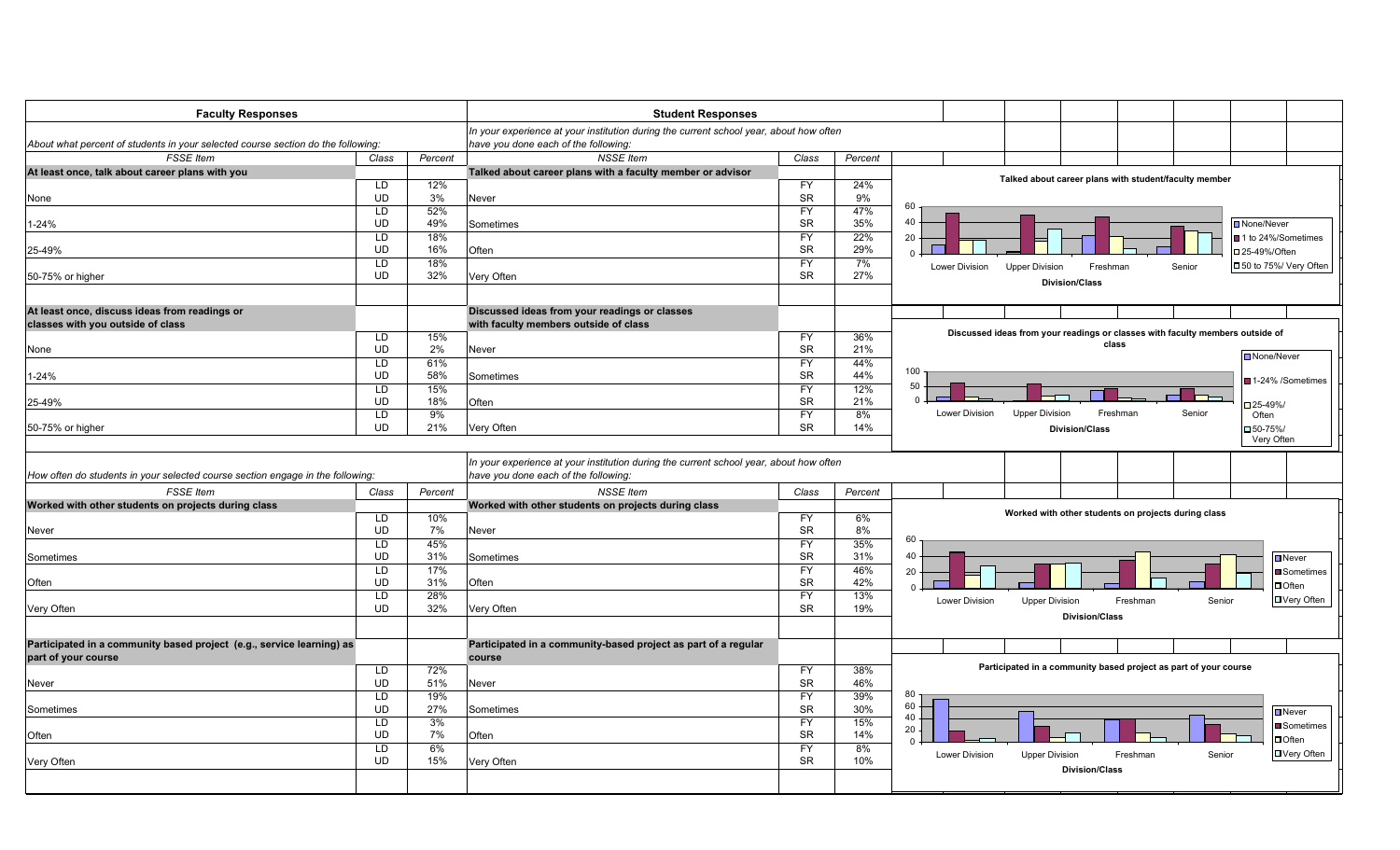| <b>Faculty Responses</b>                                                                     |                 |           | <b>Student Responses</b>                                                                                                       |                        |            |                       |                                                                               |                       |        |                                 |
|----------------------------------------------------------------------------------------------|-----------------|-----------|--------------------------------------------------------------------------------------------------------------------------------|------------------------|------------|-----------------------|-------------------------------------------------------------------------------|-----------------------|--------|---------------------------------|
|                                                                                              |                 |           | In your experience at your institution during the current school year, about how often                                         |                        |            |                       |                                                                               |                       |        |                                 |
| About what percent of students in your selected course section do the following:             |                 |           | have you done each of the following:                                                                                           |                        |            |                       |                                                                               |                       |        |                                 |
| <b>FSSE</b> Item                                                                             | Class           | Percent   | <b>NSSE</b> Item                                                                                                               | Class                  | Percent    |                       |                                                                               |                       |        |                                 |
| At least once, talk about career plans with you                                              |                 |           | Talked about career plans with a faculty member or advisor                                                                     |                        |            |                       |                                                                               |                       |        |                                 |
|                                                                                              | LD              | 12%       |                                                                                                                                | <b>FY</b>              | 24%        |                       | Talked about career plans with student/faculty member                         |                       |        |                                 |
| None                                                                                         | <b>UD</b>       | 3%        | Never                                                                                                                          | <b>SR</b>              | 9%         |                       |                                                                               |                       |        |                                 |
|                                                                                              | LD              | 52%       |                                                                                                                                | <b>FY</b>              | 47%        | 60                    |                                                                               |                       |        |                                 |
| 1-24%                                                                                        | <b>UD</b>       | 49%       | Sometimes                                                                                                                      | <b>SR</b>              | 35%        | 40                    |                                                                               |                       |        | None/Never                      |
|                                                                                              | LD              | 18%       |                                                                                                                                | <b>FY</b>              | 22%        | 20                    |                                                                               |                       |        | ■ 1 to 24%/Sometimes            |
| 25-49%                                                                                       | <b>UD</b>       | 16%       | Often                                                                                                                          | <b>SR</b>              | 29%        | $\Omega$              |                                                                               |                       |        | □25-49%/Often                   |
|                                                                                              | LD              | 18%       |                                                                                                                                | <b>FY</b>              | 7%         |                       |                                                                               |                       |        |                                 |
| 50-75% or higher                                                                             | <b>UD</b>       | 32%       | Very Often                                                                                                                     | <b>SR</b>              | 27%        | Lower Division        | <b>Upper Division</b>                                                         | Freshman              | Senior | □ 50 to 75%/ Very Often         |
|                                                                                              |                 |           |                                                                                                                                |                        |            |                       | <b>Division/Class</b>                                                         |                       |        |                                 |
| At least once, discuss ideas from readings or                                                |                 |           | Discussed ideas from your readings or classes                                                                                  |                        |            |                       |                                                                               |                       |        |                                 |
| classes with you outside of class                                                            |                 |           | with faculty members outside of class                                                                                          |                        |            |                       |                                                                               |                       |        |                                 |
|                                                                                              | LD              | 15%       |                                                                                                                                | <b>FY</b>              | 36%        |                       | Discussed ideas from your readings or classes with faculty members outside of | class                 |        |                                 |
| None                                                                                         | <b>UD</b>       | 2%        | Never                                                                                                                          | <b>SR</b>              | 21%        |                       |                                                                               |                       |        | <b>□</b> None/Never             |
|                                                                                              | LD              | 61%       |                                                                                                                                | <b>FY</b>              | 44%        | 100                   |                                                                               |                       |        |                                 |
| $-24%$                                                                                       | <b>UD</b>       | 58%       | Sometimes                                                                                                                      | <b>SR</b>              | 44%        |                       |                                                                               |                       |        | ■ 1-24% /Sometimes              |
|                                                                                              | LD              | 15%       |                                                                                                                                | <b>FY</b>              | 12%        | 50                    |                                                                               |                       |        |                                 |
| 25-49%                                                                                       | <b>UD</b>       | 18%       | Often                                                                                                                          | <b>SR</b>              | 21%        |                       |                                                                               |                       |        | □25-49%                         |
|                                                                                              | LD              | 9%        |                                                                                                                                | <b>FY</b>              | 8%         | Lower Division        | <b>Upper Division</b>                                                         | Freshman              | Senior | Often                           |
| 50-75% or higher                                                                             | <b>UD</b>       | 21%       | Very Often                                                                                                                     | <b>SR</b>              | 14%        |                       | <b>Division/Class</b>                                                         |                       |        | $\square$ 50-75%/<br>Very Often |
| How often do students in your selected course section engage in the following:               |                 |           | In your experience at your institution during the current school year, about how often<br>have you done each of the following: |                        |            |                       |                                                                               |                       |        |                                 |
| <b>FSSE</b> Item                                                                             | Class           | Percent   | <b>NSSE</b> Item                                                                                                               | Class                  | Percent    |                       |                                                                               |                       |        |                                 |
| Worked with other students on projects during class                                          |                 |           | Worked with other students on projects during class                                                                            |                        |            |                       | Worked with other students on projects during class                           |                       |        |                                 |
|                                                                                              | LD<br><b>UD</b> | 10%<br>7% | Never                                                                                                                          | <b>FY</b><br><b>SR</b> | 6%<br>8%   |                       |                                                                               |                       |        |                                 |
| <b>Never</b>                                                                                 | LD              | 45%       |                                                                                                                                | <b>FY</b>              | 35%        | 60                    |                                                                               |                       |        |                                 |
|                                                                                              | <b>UD</b>       | 31%       |                                                                                                                                | <b>SR</b>              | 31%        | 40                    |                                                                               |                       |        |                                 |
| Sometimes                                                                                    | <b>LD</b>       | 17%       | Sometimes                                                                                                                      | <b>FY</b>              | 46%        |                       |                                                                               |                       |        | $\Box$ Never                    |
|                                                                                              | <b>UD</b>       | 31%       | Often                                                                                                                          | <b>SR</b>              | 42%        | 20                    |                                                                               |                       |        | <b>■</b> Sometimes              |
| Often                                                                                        | LD              | 28%       |                                                                                                                                | <b>FY</b>              |            | $\cap$                |                                                                               |                       |        | $\Box$ Often                    |
|                                                                                              | <b>UD</b>       | 32%       |                                                                                                                                | <b>SR</b>              | 13%<br>19% | <b>Lower Division</b> | <b>Upper Division</b>                                                         | Freshman              | Senior | DVery Often                     |
| Very Often                                                                                   |                 |           | Very Often                                                                                                                     |                        |            |                       |                                                                               | <b>Division/Class</b> |        |                                 |
|                                                                                              |                 |           |                                                                                                                                |                        |            |                       |                                                                               |                       |        |                                 |
| Participated in a community based project (e.g., service learning) as<br>part of your course |                 |           | Participated in a community-based project as part of a regular<br>course                                                       |                        |            |                       |                                                                               |                       |        |                                 |
|                                                                                              | LD              | 72%       |                                                                                                                                | <b>FY</b>              | 38%        |                       | Participated in a community based project as part of your course              |                       |        |                                 |
| <b>Never</b>                                                                                 | <b>UD</b>       | 51%       | Never                                                                                                                          | <b>SR</b>              | 46%        |                       |                                                                               |                       |        |                                 |
|                                                                                              | $\overline{LD}$ | 19%       |                                                                                                                                | FY                     | 39%        | 80                    |                                                                               |                       |        |                                 |
| Sometimes                                                                                    | UD              | 27%       | Sometimes                                                                                                                      | <b>SR</b>              | 30%        | 60                    |                                                                               |                       |        | $\Box$ Never                    |
|                                                                                              | LD              | 3%        |                                                                                                                                | <b>FY</b>              | 15%        | 40<br>20              |                                                                               |                       |        | <b>■</b> Sometimes              |
| Often                                                                                        | <b>UD</b>       | 7%        | Often                                                                                                                          | <b>SR</b>              | 14%        | $\Omega$              |                                                                               |                       |        | $\Box$ Often                    |
|                                                                                              | $\overline{LD}$ | 6%        |                                                                                                                                | <b>FY</b>              | 8%         | Lower Division        | <b>Upper Division</b>                                                         | Freshman              | Senior | □ Very Often                    |
| Very Often                                                                                   | <b>UD</b>       | 15%       | Very Often                                                                                                                     | <b>SR</b>              | 10%        |                       |                                                                               |                       |        |                                 |
|                                                                                              |                 |           |                                                                                                                                |                        |            |                       |                                                                               | <b>Division/Class</b> |        |                                 |
|                                                                                              |                 |           |                                                                                                                                |                        |            |                       |                                                                               |                       |        |                                 |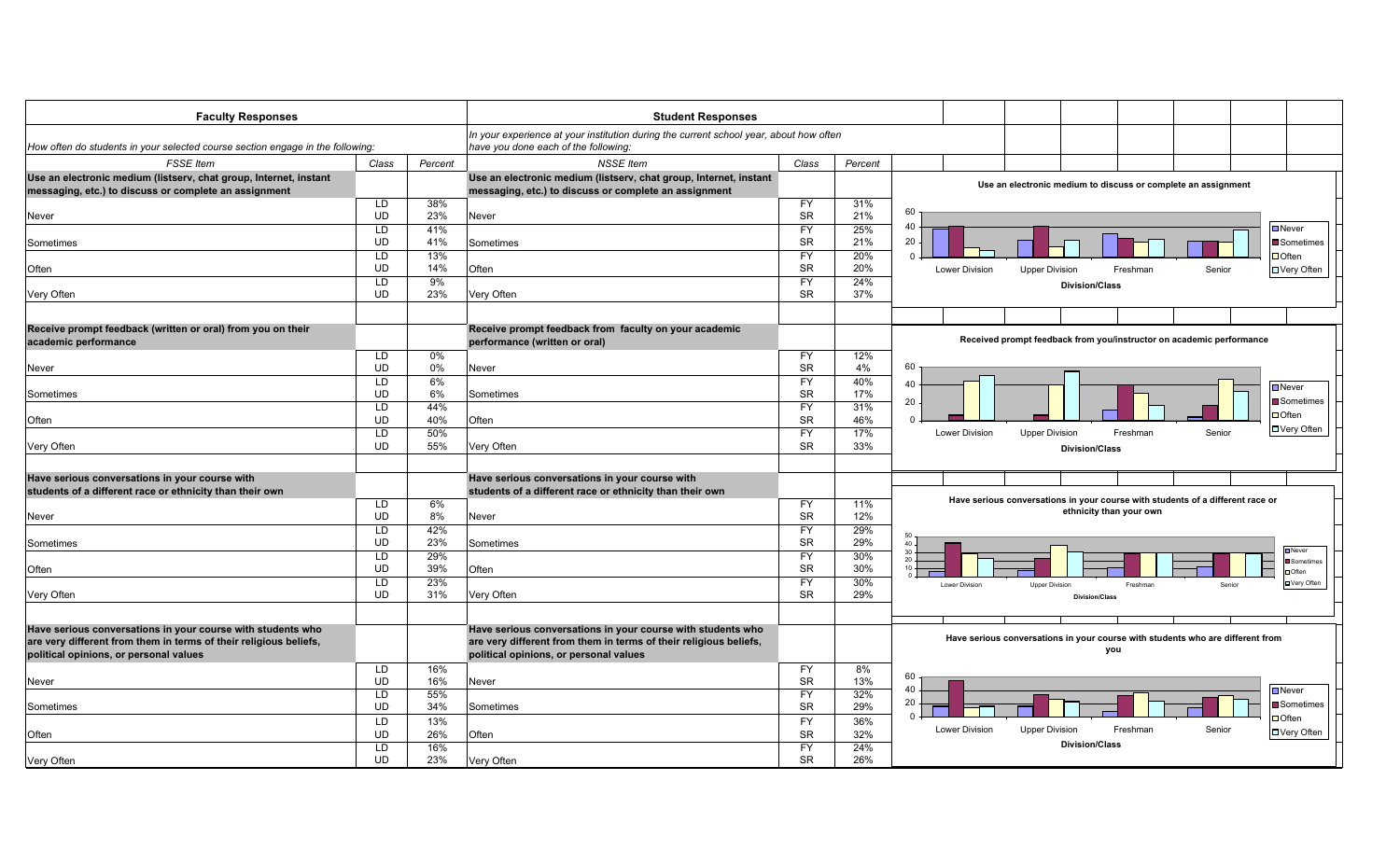| <b>Faculty Responses</b>                                                       |                 |          | <b>Student Responses</b>                                                                                                       |                        |           |                                                                                       |
|--------------------------------------------------------------------------------|-----------------|----------|--------------------------------------------------------------------------------------------------------------------------------|------------------------|-----------|---------------------------------------------------------------------------------------|
| How often do students in your selected course section engage in the following: |                 |          | In your experience at your institution during the current school year, about how often<br>have you done each of the following: |                        |           |                                                                                       |
| <b>FSSE</b> Item                                                               | Class           | Percent  | <b>NSSE</b> Item                                                                                                               | Class                  | Percent   |                                                                                       |
| Use an electronic medium (listserv, chat group, Internet, instant              |                 |          | Use an electronic medium (listserv, chat group, Internet, instant                                                              |                        |           |                                                                                       |
| messaging, etc.) to discuss or complete an assignment                          |                 |          | messaging, etc.) to discuss or complete an assignment                                                                          |                        |           | Use an electronic medium to discuss or complete an assignment                         |
|                                                                                | LD              | 38%      |                                                                                                                                | <b>FY</b>              | 31%       |                                                                                       |
| Never                                                                          | <b>UD</b>       | 23%      | Never                                                                                                                          | <b>SR</b>              | 21%       | 60                                                                                    |
|                                                                                | LD              | 41%      |                                                                                                                                | <b>FY</b>              | 25%       | 40<br>Never                                                                           |
| Sometimes                                                                      | <b>UD</b>       | 41%      | Sometimes                                                                                                                      | <b>SR</b>              | 21%       | 20<br>$\blacksquare$ Sometimes                                                        |
|                                                                                | LD              | 13%      |                                                                                                                                | <b>FY</b>              | 20%       | $\Box$ Often<br>$\Omega$                                                              |
| Often                                                                          | <b>UD</b>       | 14%      | Often                                                                                                                          | <b>SR</b>              | 20%       | Senior<br>Lower Division<br><b>Upper Division</b><br>Freshman<br>□ Very Often         |
|                                                                                | LD              | 9%       |                                                                                                                                | <b>FY</b>              | 24%       | <b>Division/Class</b>                                                                 |
| Very Often                                                                     | <b>UD</b>       | 23%      | Very Often                                                                                                                     | <b>SR</b>              | 37%       |                                                                                       |
|                                                                                |                 |          |                                                                                                                                |                        |           |                                                                                       |
| Receive prompt feedback (written or oral) from you on their                    |                 |          | Receive prompt feedback from faculty on your academic                                                                          |                        |           |                                                                                       |
| academic performance                                                           |                 |          | performance (written or oral)                                                                                                  |                        |           | Received prompt feedback from you/instructor on academic performance                  |
|                                                                                | LD              | 0%       |                                                                                                                                | FY.                    | 12%       | 60                                                                                    |
| Never                                                                          | <b>UD</b><br>LD | 0%<br>6% | Never                                                                                                                          | <b>SR</b><br><b>FY</b> | 4%<br>40% |                                                                                       |
|                                                                                | <b>UD</b>       | 6%       | Sometimes                                                                                                                      | <b>SR</b>              | 17%       | 40<br>$\blacksquare$ Never                                                            |
| Sometimes                                                                      | LD              | 44%      |                                                                                                                                | <b>FY</b>              | 31%       | Sometimes<br>20                                                                       |
| Often                                                                          | <b>UD</b>       | 40%      | Often                                                                                                                          | <b>SR</b>              | 46%       | $\Box$ Often<br>$\Omega$                                                              |
|                                                                                | LD              | 50%      |                                                                                                                                | <b>FY</b>              | 17%       | □ Very Often<br><b>Upper Division</b><br>Senior<br><b>Lower Division</b><br>Freshman  |
| Very Often                                                                     | <b>UD</b>       | 55%      | Very Often                                                                                                                     | <b>SR</b>              | 33%       | <b>Division/Class</b>                                                                 |
|                                                                                |                 |          |                                                                                                                                |                        |           |                                                                                       |
| Have serious conversations in your course with                                 |                 |          | Have serious conversations in your course with                                                                                 |                        |           |                                                                                       |
| students of a different race or ethnicity than their own                       |                 |          | students of a different race or ethnicity than their own                                                                       |                        |           |                                                                                       |
|                                                                                | LD.             | 6%       |                                                                                                                                | <b>FY</b>              | 11%       | Have serious conversations in your course with students of a different race or        |
| <b>Never</b>                                                                   | UD              | 8%       | Never                                                                                                                          | <b>SR</b>              | 12%       | ethnicity than your own                                                               |
|                                                                                | LD              | 42%      |                                                                                                                                | <b>FY</b>              | 29%       |                                                                                       |
| Sometimes                                                                      | <b>UD</b>       | 23%      | Sometimes                                                                                                                      | SR                     | 29%       | $40 -$                                                                                |
|                                                                                | LD              | 29%      |                                                                                                                                | <b>FY</b>              | 30%       | <b>Never</b><br>$30 -$<br>$20 -$                                                      |
| Often                                                                          | <b>UD</b>       | 39%      | Often                                                                                                                          | <b>SR</b>              | 30%       | Sometimes<br>10<br>Often                                                              |
|                                                                                | LD              | 23%      |                                                                                                                                | <b>FY</b>              | 30%       | <b>□ Very Often</b><br>Lower Division<br><b>Upper Division</b><br>Freshman<br>Senior  |
| Very Often                                                                     | <b>UD</b>       | 31%      | Very Often                                                                                                                     | <b>SR</b>              | 29%       | <b>Division/Class</b>                                                                 |
|                                                                                |                 |          |                                                                                                                                |                        |           |                                                                                       |
| Have serious conversations in your course with students who                    |                 |          | Have serious conversations in your course with students who                                                                    |                        |           |                                                                                       |
| are very different from them in terms of their religious beliefs,              |                 |          | are very different from them in terms of their religious beliefs,                                                              |                        |           | Have serious conversations in your course with students who are different from<br>you |
| political opinions, or personal values                                         |                 |          | political opinions, or personal values                                                                                         |                        |           |                                                                                       |
|                                                                                | LD.             | 16%      |                                                                                                                                | <b>FY</b>              | 8%        | 60                                                                                    |
| <b>Never</b>                                                                   | <b>UD</b>       | 16%      | Never                                                                                                                          | <b>SR</b>              | 13%       | 40<br>$\blacksquare$ Never                                                            |
|                                                                                | LD              | 55%      |                                                                                                                                | FY                     | 32%       | 20<br>Sometimes                                                                       |
| Sometimes                                                                      | <b>UD</b>       | 34%      | Sometimes                                                                                                                      | <b>SR</b>              | 29%       | $\Omega$<br>$\Box$ Often                                                              |
|                                                                                | LD              | 13%      |                                                                                                                                | <b>FY</b>              | 36%       | <b>Upper Division</b><br>Lower Division<br>Freshman<br>Senior                         |
| Often                                                                          | <b>UD</b>       | 26%      | Often                                                                                                                          | <b>SR</b>              | 32%       | □ Very Often<br><b>Division/Class</b>                                                 |
|                                                                                | LD              | 16%      |                                                                                                                                | <b>FY</b>              | 24%       |                                                                                       |
| Very Often                                                                     | <b>UD</b>       | 23%      | Very Often                                                                                                                     | <b>SR</b>              | 26%       |                                                                                       |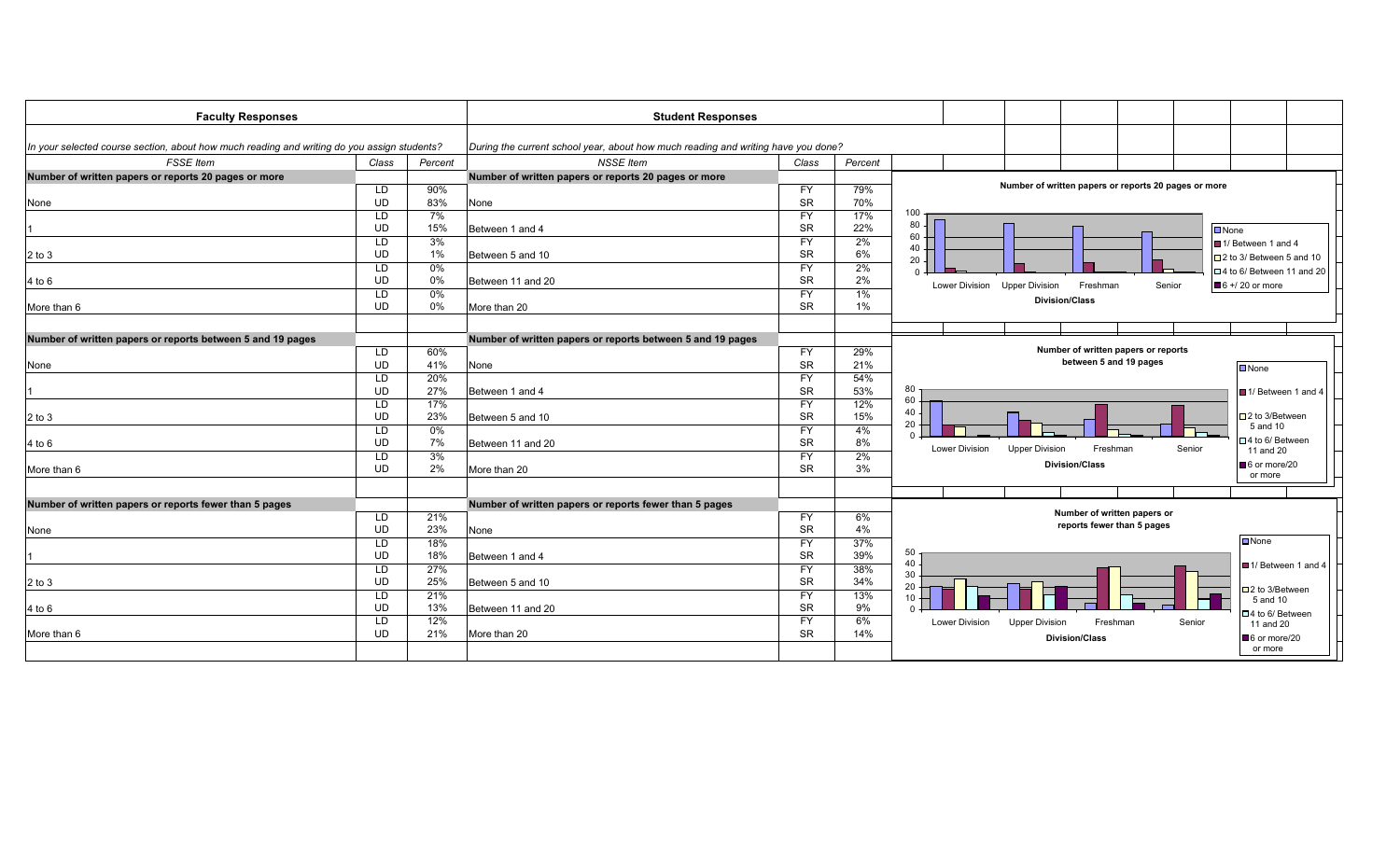| <b>Faculty Responses</b>                                                                    |                 |            | <b>Student Responses</b>                                                          |                        |            |                               |                                     |                                                      |                                      |  |
|---------------------------------------------------------------------------------------------|-----------------|------------|-----------------------------------------------------------------------------------|------------------------|------------|-------------------------------|-------------------------------------|------------------------------------------------------|--------------------------------------|--|
|                                                                                             |                 |            |                                                                                   |                        |            |                               |                                     |                                                      |                                      |  |
| In your selected course section, about how much reading and writing do you assign students? |                 |            | During the current school year, about how much reading and writing have you done? |                        |            |                               |                                     |                                                      |                                      |  |
| <b>FSSE</b> Item                                                                            | Class           | Percent    | <b>NSSE Item</b>                                                                  | Class                  | Percent    |                               |                                     |                                                      |                                      |  |
| Number of written papers or reports 20 pages or more                                        | LD              | 90%        | Number of written papers or reports 20 pages or more                              | <b>FY</b>              | 79%        |                               |                                     | Number of written papers or reports 20 pages or more |                                      |  |
| None                                                                                        | <b>UD</b>       | 83%        | None                                                                              | <b>SR</b>              | 70%        |                               |                                     |                                                      |                                      |  |
|                                                                                             | LD              | 7%         |                                                                                   | <b>FY</b>              | 17%        | $100 -$                       |                                     |                                                      |                                      |  |
|                                                                                             | <b>UD</b>       | 15%        | Between 1 and 4                                                                   | <b>SR</b>              | 22%        | 80                            |                                     |                                                      | $\n  None\n$                         |  |
|                                                                                             | LD              | 3%         |                                                                                   | <b>FY</b>              | 2%         | 60                            |                                     |                                                      | ■ 1/ Between 1 and 4                 |  |
| $2$ to $3$                                                                                  | <b>UD</b>       | 1%         | Between 5 and 10                                                                  | <b>SR</b>              | 6%         | 40                            |                                     |                                                      | □ 2 to 3/ Between 5 and 10           |  |
|                                                                                             | LD              | 0%         |                                                                                   | <b>FY</b>              | 2%         | 20                            |                                     |                                                      | □ 4 to 6/ Between 11 and 20          |  |
| 4 to 6                                                                                      | <b>UD</b>       | 0%         | Between 11 and 20                                                                 | <b>SR</b>              | 2%         |                               |                                     |                                                      |                                      |  |
|                                                                                             | LD              | $0\%$      |                                                                                   | <b>FY</b>              | 1%         | Lower Division Upper Division | Freshman                            | Senior                                               | $6 + 20$ or more                     |  |
| More than 6                                                                                 | <b>UD</b>       | $0\%$      | More than 20                                                                      | <b>SR</b>              | 1%         |                               | <b>Division/Class</b>               |                                                      |                                      |  |
|                                                                                             |                 |            |                                                                                   |                        |            |                               |                                     |                                                      |                                      |  |
|                                                                                             |                 |            |                                                                                   |                        |            |                               |                                     |                                                      |                                      |  |
| Number of written papers or reports between 5 and 19 pages                                  |                 |            | Number of written papers or reports between 5 and 19 pages                        |                        |            |                               | Number of written papers or reports |                                                      |                                      |  |
|                                                                                             | LD              | 60%        |                                                                                   | <b>FY</b>              | 29%        |                               | between 5 and 19 pages              |                                                      |                                      |  |
| None                                                                                        | <b>UD</b>       | 41%        | None                                                                              | <b>SR</b>              | 21%        |                               |                                     |                                                      | Mone                                 |  |
|                                                                                             | LD              | 20%<br>27% |                                                                                   | <b>FY</b>              | 54%        | 80                            |                                     |                                                      |                                      |  |
|                                                                                             | <b>UD</b>       |            | Between 1 and 4                                                                   | <b>SR</b>              | 53%        | 60                            |                                     |                                                      | 1/ Between 1 and 4                   |  |
|                                                                                             | LD<br><b>UD</b> | 17%<br>23% | Between 5 and 10                                                                  | <b>FY</b><br><b>SR</b> | 12%<br>15% | 40                            |                                     |                                                      | □ 2 to 3/Between                     |  |
| $2$ to $3$                                                                                  |                 | 0%         |                                                                                   |                        |            | 20                            |                                     |                                                      | 5 and 10                             |  |
|                                                                                             | LD<br><b>UD</b> | 7%         | Between 11 and 20                                                                 | <b>FY</b><br><b>SR</b> | 4%<br>8%   | $\Omega$                      |                                     |                                                      | □ 4 to 6/ Between                    |  |
| 4 to 6                                                                                      |                 | 3%         |                                                                                   | <b>FY</b>              | 2%         | <b>Lower Division</b>         | <b>Upper Division</b><br>Freshman   | Senior                                               | 11 and 20                            |  |
| More than 6                                                                                 | LD<br><b>UD</b> | 2%         | More than 20                                                                      | <b>SR</b>              | 3%         |                               | <b>Division/Class</b>               |                                                      | 6 or more/20                         |  |
|                                                                                             |                 |            |                                                                                   |                        |            |                               |                                     |                                                      | or more                              |  |
|                                                                                             |                 |            |                                                                                   |                        |            |                               |                                     |                                                      |                                      |  |
| Number of written papers or reports fewer than 5 pages                                      |                 |            | Number of written papers or reports fewer than 5 pages                            |                        |            |                               |                                     |                                                      |                                      |  |
|                                                                                             | LD              | 21%        |                                                                                   | <b>FY</b>              | 6%         |                               | Number of written papers or         |                                                      |                                      |  |
| None                                                                                        | <b>UD</b>       | 23%        | None                                                                              | <b>SR</b>              | 4%         |                               | reports fewer than 5 pages          |                                                      |                                      |  |
|                                                                                             | LD              | 18%        |                                                                                   | <b>FY</b>              | 37%        |                               |                                     |                                                      | $\Box$ None                          |  |
|                                                                                             | <b>UD</b>       | 18%        | Between 1 and 4                                                                   | <b>SR</b>              | 39%        | 50                            |                                     |                                                      |                                      |  |
|                                                                                             | LD              | 27%        |                                                                                   | <b>FY</b>              | 38%        | 40<br>30                      |                                     |                                                      | III 1/ Between 1 and 4               |  |
| $2$ to $3$                                                                                  | <b>UD</b>       | 25%        | Between 5 and 10                                                                  | <b>SR</b>              | 34%        | 20                            |                                     |                                                      |                                      |  |
|                                                                                             | LD              | 21%        |                                                                                   | <b>FY</b>              | 13%        | 10                            |                                     |                                                      | $\square$ 2 to 3/Between<br>5 and 10 |  |
| $4$ to $6$                                                                                  | <b>UD</b>       | 13%        | Between 11 and 20                                                                 | <b>SR</b>              | 9%         |                               |                                     |                                                      | □4 to 6/ Between                     |  |
|                                                                                             | LD              | 12%        |                                                                                   | <b>FY</b>              | 6%         | Lower Division                | <b>Upper Division</b><br>Freshman   | Senior                                               | 11 and 20                            |  |
| More than 6                                                                                 | <b>UD</b>       | 21%        | More than 20                                                                      | <b>SR</b>              | 14%        |                               | <b>Division/Class</b>               |                                                      | 6 or more/20                         |  |
|                                                                                             |                 |            |                                                                                   |                        |            |                               |                                     |                                                      | or more                              |  |
|                                                                                             |                 |            |                                                                                   |                        |            |                               |                                     |                                                      |                                      |  |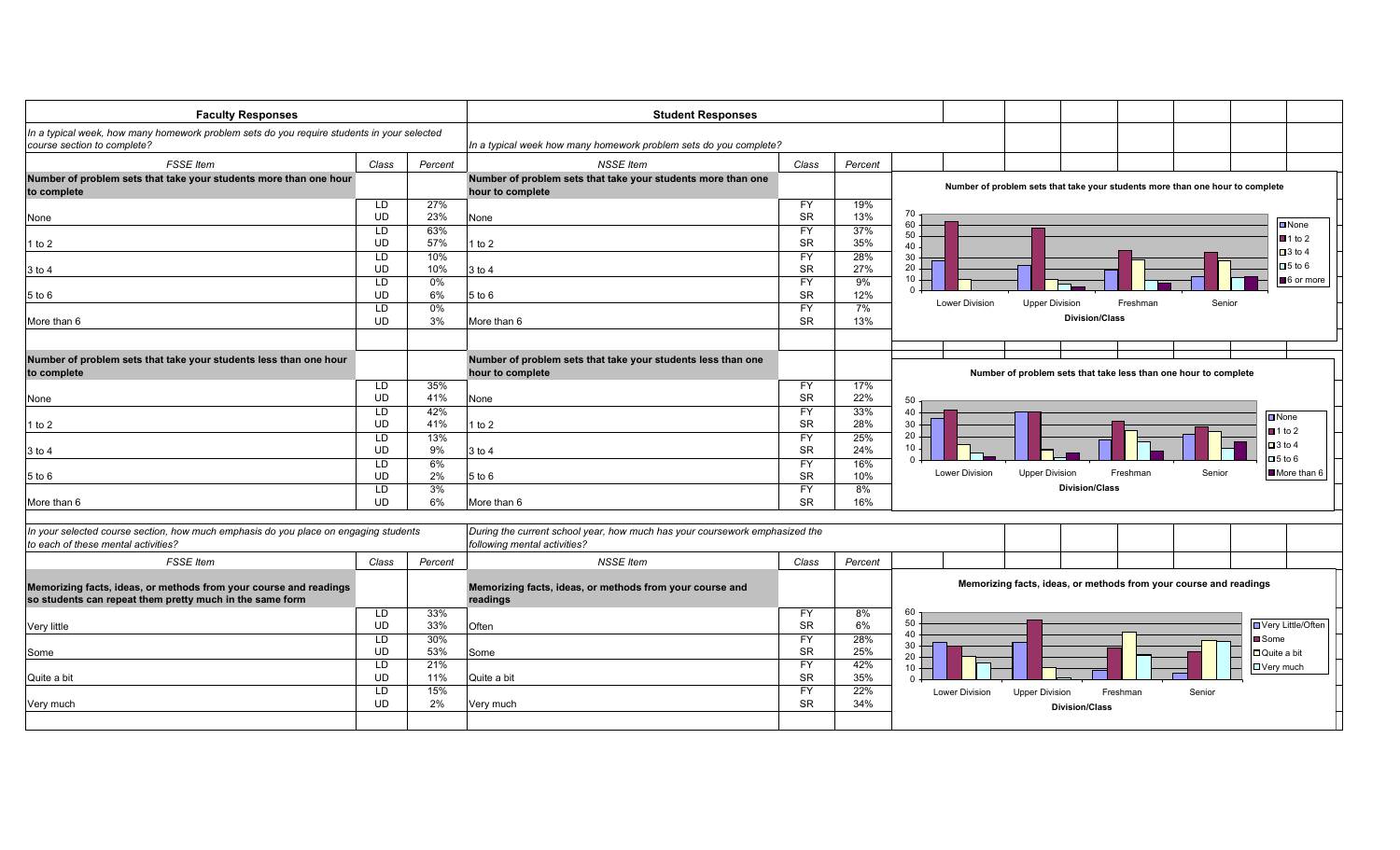| <b>Faculty Responses</b>                                                                                                      |                       |                   | <b>Student Responses</b>                                                                                    |                                     |                   |                                   |                                                                               |          |        |                                              |
|-------------------------------------------------------------------------------------------------------------------------------|-----------------------|-------------------|-------------------------------------------------------------------------------------------------------------|-------------------------------------|-------------------|-----------------------------------|-------------------------------------------------------------------------------|----------|--------|----------------------------------------------|
| In a typical week, how many homework problem sets do you require students in your selected<br>course section to complete?     |                       |                   | In a typical week how many homework problem sets do you complete?                                           |                                     |                   |                                   |                                                                               |          |        |                                              |
| <b>FSSE</b> Item                                                                                                              | Class                 | Percent           | <b>NSSE</b> Item                                                                                            | Class                               | Percent           |                                   |                                                                               |          |        |                                              |
| Number of problem sets that take your students more than one hour<br>to complete                                              |                       |                   | Number of problem sets that take your students more than one<br>hour to complete                            |                                     |                   |                                   | Number of problem sets that take your students more than one hour to complete |          |        |                                              |
| None                                                                                                                          | LD<br>UD              | 27%<br>23%        | None                                                                                                        | <b>FY</b><br><b>SR</b>              | 19%<br>13%        | 70<br>60                          |                                                                               |          |        | $\Box$ None                                  |
| 1 to $2$                                                                                                                      | LD<br><b>UD</b>       | 63%<br>57%        | 1 to $2$                                                                                                    | <b>FY</b><br><b>SR</b>              | 37%<br>35%        | 50<br>40                          |                                                                               |          |        | $\blacksquare$ 1 to 2<br>$\Box$ 3 to 4       |
| 3 to 4                                                                                                                        | LD<br><b>UD</b>       | 10%<br>10%        | 3 to 4                                                                                                      | <b>FY</b><br><b>SR</b>              | 28%<br>27%        | 30<br>20<br>10                    |                                                                               |          |        | $\square$ 5 to 6<br>6 or more                |
| 5 to 6                                                                                                                        | LD<br>UD<br><b>LD</b> | 0%<br>6%<br>0%    | $5$ to $6$                                                                                                  | <b>FY</b><br><b>SR</b><br><b>FY</b> | 9%<br>12%<br>7%   | $\Omega$<br><b>Lower Division</b> | <b>Upper Division</b>                                                         | Freshman | Senior |                                              |
| More than 6                                                                                                                   | <b>UD</b>             | 3%                | More than 6                                                                                                 | <b>SR</b>                           | 13%               |                                   | <b>Division/Class</b>                                                         |          |        |                                              |
| Number of problem sets that take your students less than one hour<br>to complete                                              |                       |                   | Number of problem sets that take your students less than one<br>hour to complete                            |                                     |                   |                                   | Number of problem sets that take less than one hour to complete               |          |        |                                              |
| None                                                                                                                          | LD<br><b>UD</b>       | 35%<br>41%        | None                                                                                                        | <b>FY</b><br><b>SR</b>              | 17%<br>22%        | 50                                |                                                                               |          |        |                                              |
| 1 to $2$                                                                                                                      | LD<br><b>UD</b><br>LD | 42%<br>41%<br>13% | 1 to $2$                                                                                                    | <b>FY</b><br><b>SR</b><br><b>FY</b> | 33%<br>28%<br>25% | 40<br>30<br>20                    |                                                                               |          |        | $\blacksquare$ None<br>$\blacksquare$ 1 to 2 |
| 3 to 4                                                                                                                        | <b>UD</b><br>LD       | 9%<br>6%          | 3 to 4                                                                                                      | <b>SR</b><br><b>FY</b>              | 24%<br>16%        | 10                                |                                                                               |          |        | $\Box$ 3 to 4<br>$\Box$ 5 to 6               |
| 5 to 6                                                                                                                        | UD<br>LD              | 2%<br>3%          | $5$ to $6$                                                                                                  | <b>SR</b><br><b>FY</b>              | 10%<br>8%         | <b>Lower Division</b>             | <b>Upper Division</b><br><b>Division/Class</b>                                | Freshman | Senior | More than 6                                  |
| More than 6                                                                                                                   | <b>UD</b>             | 6%                | More than 6                                                                                                 | <b>SR</b>                           | 16%               |                                   |                                                                               |          |        |                                              |
| In your selected course section, how much emphasis do you place on engaging students<br>to each of these mental activities?   |                       |                   | During the current school year, how much has your coursework emphasized the<br>following mental activities? |                                     |                   |                                   |                                                                               |          |        |                                              |
| <b>FSSE</b> Item                                                                                                              | Class                 | Percent           | <b>NSSE Item</b>                                                                                            | Class                               | Percent           |                                   |                                                                               |          |        |                                              |
| Memorizing facts, ideas, or methods from your course and readings<br>so students can repeat them pretty much in the same form |                       |                   | Memorizing facts, ideas, or methods from your course and<br>readings                                        |                                     |                   |                                   | Memorizing facts, ideas, or methods from your course and readings             |          |        |                                              |
| Very little                                                                                                                   | LD<br>UD              | 33%<br>33%        | Often                                                                                                       | <b>FY</b><br><b>SR</b>              | 8%<br>6%          | 60<br>50<br>40                    |                                                                               |          |        | Very Little/Often                            |
| Some                                                                                                                          | LD<br><b>UD</b><br>LD | 30%<br>53%<br>21% | Some                                                                                                        | <b>FY</b><br><b>SR</b><br><b>FY</b> | 28%<br>25%<br>42% | 30<br>20<br>10                    |                                                                               |          |        | Some<br>Quite a bit<br><b>□</b> Very much    |
| Quite a bit                                                                                                                   | <b>UD</b><br>LD       | 11%<br>15%        | Quite a bit                                                                                                 | <b>SR</b><br><b>FY</b>              | 35%<br>22%        | $\Omega$<br><b>Lower Division</b> | <b>Upper Division</b>                                                         | Freshman | Senior |                                              |
| Very much                                                                                                                     | UD                    | 2%                | Very much                                                                                                   | <b>SR</b>                           | 34%               |                                   | <b>Division/Class</b>                                                         |          |        |                                              |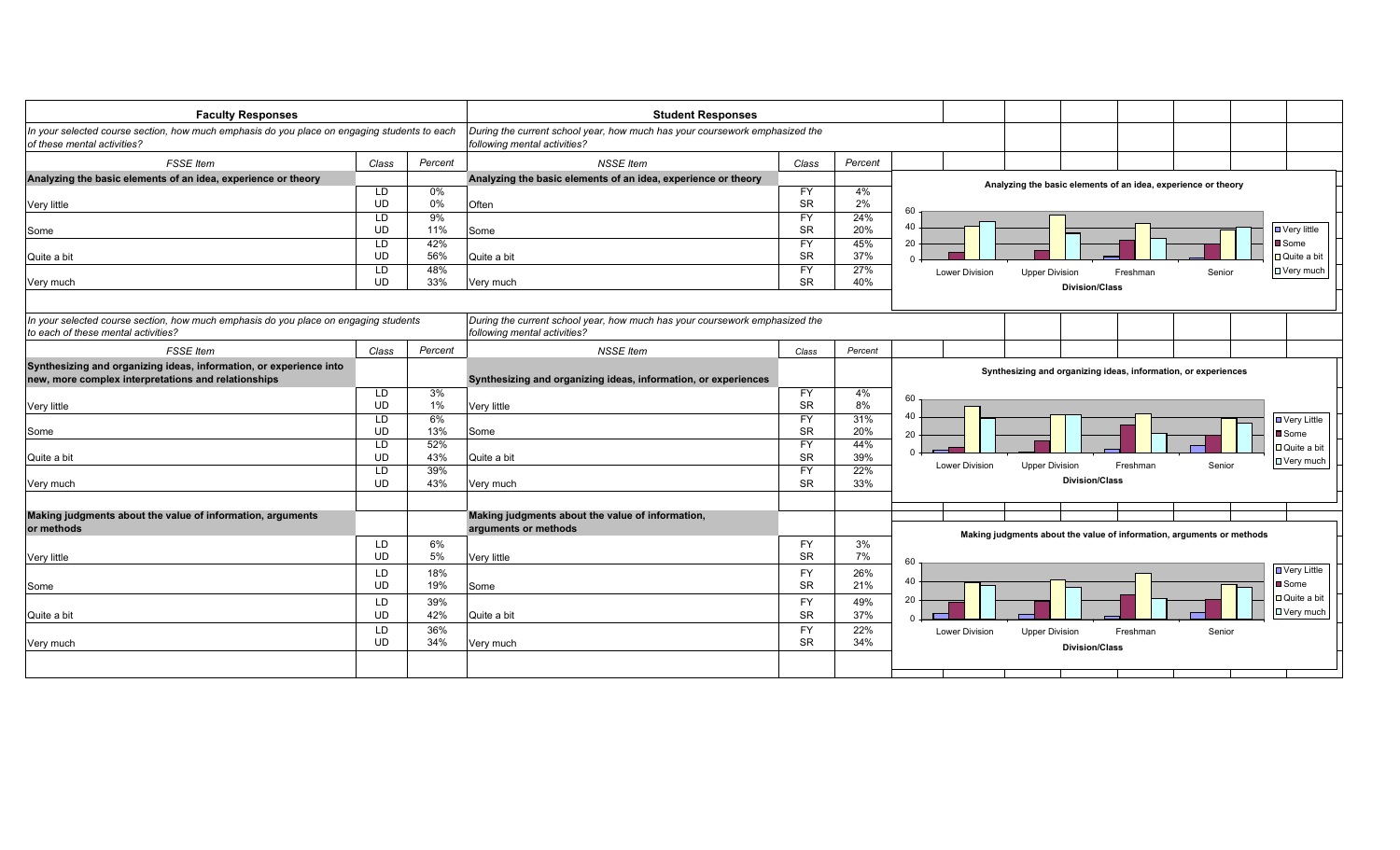| <b>Faculty Responses</b>                                                                                                    |                 |         | <b>Student Responses</b>                                                                                    |                        |            |                                                                                            |
|-----------------------------------------------------------------------------------------------------------------------------|-----------------|---------|-------------------------------------------------------------------------------------------------------------|------------------------|------------|--------------------------------------------------------------------------------------------|
| In your selected course section, how much emphasis do you place on engaging students to each<br>of these mental activities? |                 |         | During the current school year, how much has your coursework emphasized the<br>following mental activities? |                        |            |                                                                                            |
| <b>FSSE</b> Item                                                                                                            | Class           | Percent | <b>NSSE</b> Item                                                                                            | Class                  | Percent    |                                                                                            |
| Analyzing the basic elements of an idea, experience or theory                                                               |                 |         | Analyzing the basic elements of an idea, experience or theory                                               |                        |            |                                                                                            |
|                                                                                                                             | LD              | $0\%$   |                                                                                                             | <b>FY</b>              | 4%         | Analyzing the basic elements of an idea, experience or theory                              |
| Very little                                                                                                                 | <b>UD</b>       | $0\%$   | Often                                                                                                       | <b>SR</b>              | 2%         | 60                                                                                         |
|                                                                                                                             | LD              | 9%      |                                                                                                             | <b>FY</b>              | 24%        |                                                                                            |
| Some                                                                                                                        | <b>UD</b>       | 11%     | Some                                                                                                        | <b>SR</b>              | 20%        | 40<br>$\Box$ Very little                                                                   |
|                                                                                                                             | LD              | 42%     |                                                                                                             | <b>FY</b>              | 45%        | Some<br>20                                                                                 |
| Quite a bit                                                                                                                 | <b>UD</b>       | 56%     | Quite a bit                                                                                                 | <b>SR</b>              | 37%        | □ Quite a bit<br>$\Omega$                                                                  |
|                                                                                                                             | LD              | 48%     |                                                                                                             | <b>FY</b>              | 27%        | □ Very much<br><b>Lower Division</b><br><b>Upper Division</b><br>Freshman<br>Senior        |
| Very much                                                                                                                   | <b>UD</b>       | 33%     | Very much                                                                                                   | <b>SR</b>              | 40%        | <b>Division/Class</b>                                                                      |
| In your selected course section, how much emphasis do you place on engaging students<br>to each of these mental activities? |                 |         | During the current school year, how much has your coursework emphasized the<br>following mental activities? |                        |            |                                                                                            |
| <b>FSSE</b> Item                                                                                                            | Class           | Percent | <b>NSSE</b> Item                                                                                            | Class                  | Percent    |                                                                                            |
| Synthesizing and organizing ideas, information, or experience into                                                          |                 |         |                                                                                                             |                        |            | Synthesizing and organizing ideas, information, or experiences                             |
| new, more complex interpretations and relationships                                                                         |                 |         | Synthesizing and organizing ideas, information, or experiences                                              |                        |            |                                                                                            |
|                                                                                                                             | LD              | 3%      |                                                                                                             | <b>FY</b>              | 4%         | 60                                                                                         |
| Very little                                                                                                                 | <b>UD</b>       | $1\%$   | Very little                                                                                                 | <b>SR</b>              | 8%         |                                                                                            |
|                                                                                                                             | LD              | 6%      |                                                                                                             | <b>FY</b>              | 31%        | 40<br><b>□ Very Little</b>                                                                 |
| Some                                                                                                                        | UD              | 13%     | Some                                                                                                        | <b>SR</b>              | 20%        | <b>■</b> Some<br>20                                                                        |
|                                                                                                                             | LD              | 52%     |                                                                                                             | <b>FY</b>              | 44%        | DQuite a bit<br>$\Omega$                                                                   |
| Quite a bit                                                                                                                 | <b>UD</b>       | 43%     | Quite a bit                                                                                                 | <b>SR</b>              | 39%        | <b>□</b> Very much<br><b>Lower Division</b><br><b>Upper Division</b><br>Freshman<br>Senior |
|                                                                                                                             | LD<br><b>UD</b> | 39%     |                                                                                                             | <b>FY</b><br><b>SR</b> | 22%<br>33% | <b>Division/Class</b>                                                                      |
| Very much                                                                                                                   |                 | 43%     | Very much                                                                                                   |                        |            |                                                                                            |
| Making judgments about the value of information, arguments                                                                  |                 |         | Making judgments about the value of information,                                                            |                        |            |                                                                                            |
| or methods                                                                                                                  |                 |         | arguments or methods                                                                                        |                        |            | Making judgments about the value of information, arguments or methods                      |
|                                                                                                                             | LD              | 6%      |                                                                                                             | <b>FY</b>              | 3%         |                                                                                            |
| Very little                                                                                                                 | <b>UD</b>       | 5%      | Very little                                                                                                 | <b>SR</b>              | 7%         | 60                                                                                         |
|                                                                                                                             | LD              | 18%     |                                                                                                             | <b>FY</b>              | 26%        | <b>■ Very Little</b>                                                                       |
| Some                                                                                                                        | <b>UD</b>       | 19%     | Some                                                                                                        | <b>SR</b>              | 21%        | 40<br><b>■</b> Some                                                                        |
|                                                                                                                             | LD              | 39%     |                                                                                                             | <b>FY</b>              | 49%        | □ Quite a bit<br>20                                                                        |
| Quite a bit                                                                                                                 | <b>UD</b>       | 42%     | Quite a bit                                                                                                 | <b>SR</b>              | 37%        | DVery much<br>$\Omega$                                                                     |
|                                                                                                                             | LD              | 36%     |                                                                                                             | <b>FY</b>              | 22%        | <b>Lower Division</b><br><b>Upper Division</b><br>Freshman<br>Senior                       |
| Very much                                                                                                                   | <b>UD</b>       | 34%     | Very much                                                                                                   | <b>SR</b>              | 34%        | <b>Division/Class</b>                                                                      |
|                                                                                                                             |                 |         |                                                                                                             |                        |            |                                                                                            |
|                                                                                                                             |                 |         |                                                                                                             |                        |            |                                                                                            |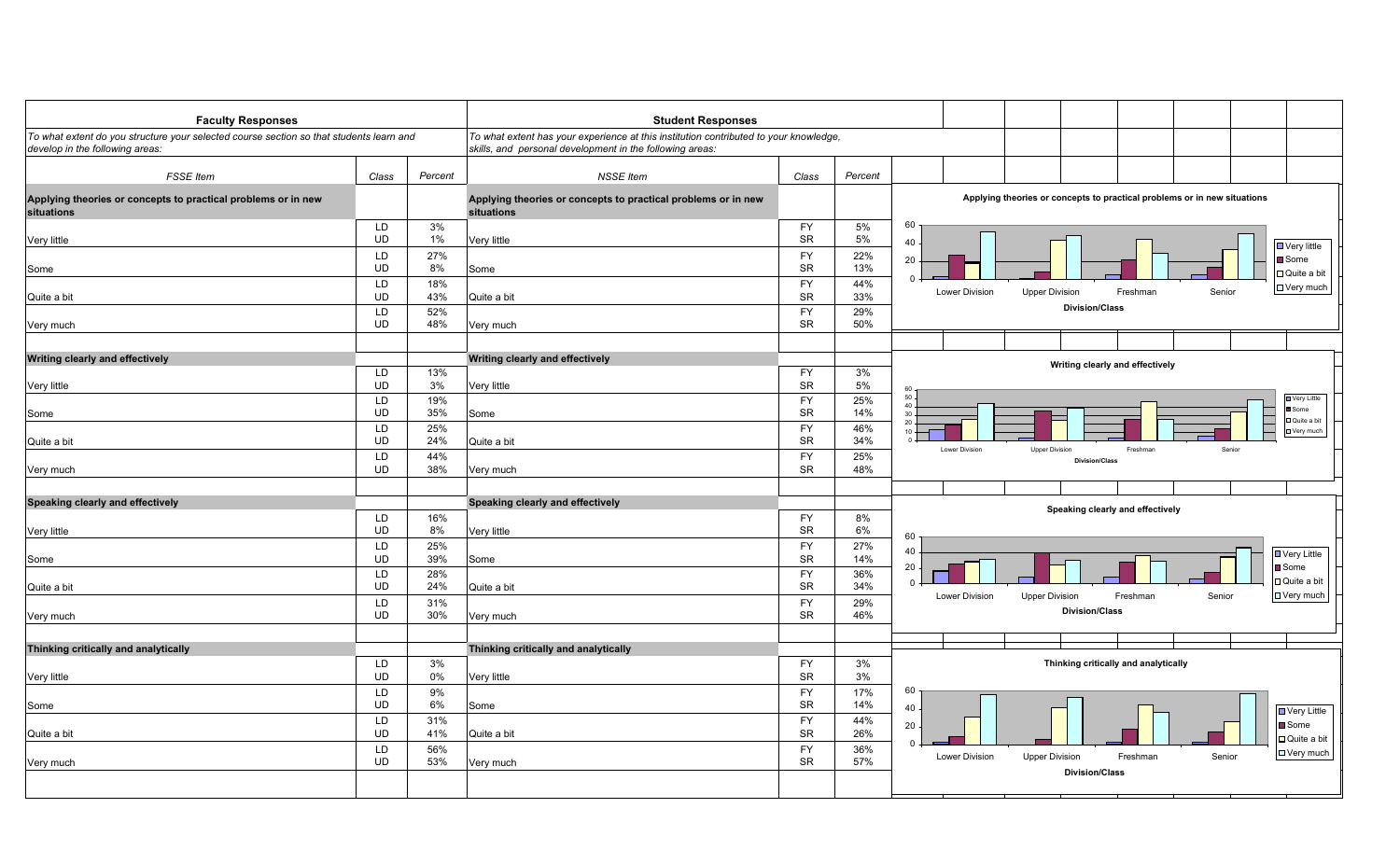| <b>Faculty Responses</b>                                                                                                   |                        |                   | <b>Student Responses</b>                                                                                                                          |                                     |                   |                                                                                                                     |
|----------------------------------------------------------------------------------------------------------------------------|------------------------|-------------------|---------------------------------------------------------------------------------------------------------------------------------------------------|-------------------------------------|-------------------|---------------------------------------------------------------------------------------------------------------------|
| To what extent do you structure your selected course section so that students learn and<br>develop in the following areas: |                        |                   | To what extent has your experience at this institution contributed to your knowledge,<br>skills, and personal development in the following areas: |                                     |                   |                                                                                                                     |
| <b>FSSE</b> Item                                                                                                           | Class                  | Percent           | <b>NSSE Item</b>                                                                                                                                  | Class                               | Percent           |                                                                                                                     |
| Applying theories or concepts to practical problems or in new<br>situations                                                |                        |                   | Applying theories or concepts to practical problems or in new<br>situations                                                                       |                                     |                   | Applying theories or concepts to practical problems or in new situations                                            |
| Very little                                                                                                                | LD<br><b>UD</b>        | 3%<br>1%          | Very little                                                                                                                                       | FY<br><b>SR</b>                     | 5%<br>5%          | 60<br>40<br>$\Box$ Very little                                                                                      |
| Some                                                                                                                       | LD<br>UD               | 27%<br>8%         | Some                                                                                                                                              | <b>FY</b><br><b>SR</b>              | 22%<br>13%        | ■ Some<br>20<br>□ Quite a bit                                                                                       |
| Quite a bit                                                                                                                | LD<br>UD               | 18%<br>43%        | Quite a bit                                                                                                                                       | <b>FY</b><br><b>SR</b>              | 44%<br>33%        | <b>□ Very much</b><br><b>Lower Division</b><br><b>Upper Division</b><br>Freshman<br>Senior<br><b>Division/Class</b> |
| Very much                                                                                                                  | <b>LD</b><br><b>UD</b> | 52%<br>48%        | Very much                                                                                                                                         | <b>FY</b><br><b>SR</b>              | 29%<br>50%        |                                                                                                                     |
| <b>Writing clearly and effectively</b>                                                                                     |                        |                   | <b>Writing clearly and effectively</b>                                                                                                            |                                     |                   | Writing clearly and effectively                                                                                     |
| Very little                                                                                                                | LD<br><b>UD</b><br>LD  | 13%<br>3%<br>19%  | Very little                                                                                                                                       | <b>FY</b><br><b>SR</b><br><b>FY</b> | 3%<br>5%<br>25%   | 60<br>$50 -$<br><b>D</b> Very Little                                                                                |
| Some                                                                                                                       | <b>UD</b><br>LD        | 35%<br>25%        | Some                                                                                                                                              | <b>SR</b><br><b>FY</b>              | 14%<br>46%        | $40 -$<br>Some<br>30 <sub>1</sub><br><b>□</b> Quite a bit<br>20 <sub>1</sub><br>$10 -$<br><b>D</b> Very much        |
| Quite a bit                                                                                                                | <b>UD</b><br>LD        | 24%<br>44%        | Quite a bit                                                                                                                                       | <b>SR</b><br><b>FY</b>              | 34%<br>25%        | Lower Division<br><b>Upper Division</b><br>Freshman<br>Senior<br><b>Division/Class</b>                              |
| Very much                                                                                                                  | <b>UD</b>              | 38%               | Very much                                                                                                                                         | <b>SR</b>                           | 48%               |                                                                                                                     |
| Speaking clearly and effectively                                                                                           |                        |                   | Speaking clearly and effectively                                                                                                                  |                                     |                   | Speaking clearly and effectively                                                                                    |
| Very little                                                                                                                | LD<br><b>UD</b>        | 16%<br>8%         | Very little                                                                                                                                       | FY<br><b>SR</b>                     | 8%<br>6%          | 60                                                                                                                  |
| Some                                                                                                                       | LD<br>UD               | 25%<br>39%        | Some                                                                                                                                              | <b>FY</b><br><b>SR</b>              | 27%<br>14%        | 40<br><b>□ Very Little</b><br>20<br>Some                                                                            |
| Quite a bit                                                                                                                | LD<br><b>UD</b><br>LD  | 28%<br>24%<br>31% | Quite a bit                                                                                                                                       | <b>FY</b><br><b>SR</b><br>FY        | 36%<br>34%<br>29% | □ Quite a bit<br>$\Omega$<br>$\Box$ Very much<br>Lower Division<br><b>Upper Division</b><br>Freshman<br>Senior      |
| Very much                                                                                                                  | <b>UD</b>              | 30%               | Very much                                                                                                                                         | SR                                  | 46%               | <b>Division/Class</b>                                                                                               |
| Thinking critically and analytically                                                                                       |                        |                   | Thinking critically and analytically                                                                                                              |                                     |                   |                                                                                                                     |
| Very little                                                                                                                | LD<br><b>UD</b>        | 3%<br>0%          | Very little                                                                                                                                       | <b>FY</b><br><b>SR</b>              | 3%<br>3%          | Thinking critically and analytically                                                                                |
| Some                                                                                                                       | LD<br><b>UD</b>        | 9%<br>6%          | Some                                                                                                                                              | <b>FY</b><br><b>SR</b>              | 17%<br>14%        | 60<br>40<br>■ Very Little                                                                                           |
| Quite a bit                                                                                                                | LD<br>UD               | 31%<br>41%        | Quite a bit                                                                                                                                       | <b>FY</b><br><b>SR</b>              | 44%<br>26%        | Some<br>20<br>$\Box$ Quite a bit<br>$\Omega$                                                                        |
| Very much                                                                                                                  | LD<br><b>UD</b>        | 56%<br>53%        | Very much                                                                                                                                         | <b>FY</b><br><b>SR</b>              | 36%<br>57%        | $\Box$ Very much<br>Senior<br><b>Lower Division</b><br><b>Upper Division</b><br>Freshman<br><b>Division/Class</b>   |
|                                                                                                                            |                        |                   |                                                                                                                                                   |                                     |                   |                                                                                                                     |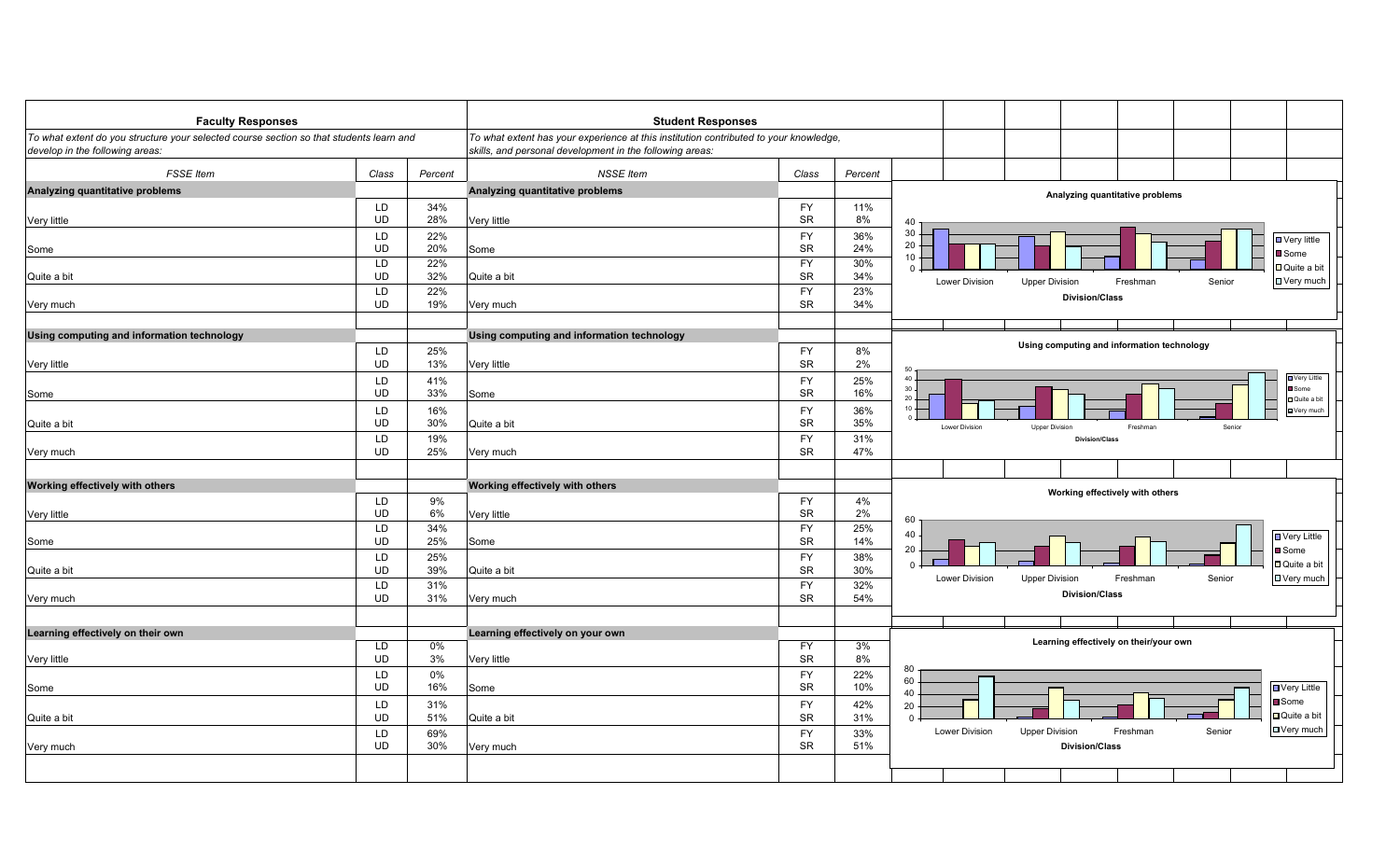| <b>Faculty Responses</b>                                                                                                   |                        |            | <b>Student Responses</b>                                                                                                                          |                        |            |                                                                                                |
|----------------------------------------------------------------------------------------------------------------------------|------------------------|------------|---------------------------------------------------------------------------------------------------------------------------------------------------|------------------------|------------|------------------------------------------------------------------------------------------------|
| To what extent do you structure your selected course section so that students learn and<br>develop in the following areas: |                        |            | To what extent has your experience at this institution contributed to your knowledge,<br>skills, and personal development in the following areas: |                        |            |                                                                                                |
| <b>FSSE</b> Item                                                                                                           | Class                  | Percent    | <b>NSSE Item</b>                                                                                                                                  | Class                  | Percent    |                                                                                                |
| Analyzing quantitative problems                                                                                            |                        |            | Analyzing quantitative problems                                                                                                                   |                        |            | Analyzing quantitative problems                                                                |
|                                                                                                                            | LD                     | 34%        |                                                                                                                                                   | <b>FY</b>              | 11%        |                                                                                                |
| Very little                                                                                                                | <b>UD</b>              | 28%        | Very little                                                                                                                                       | <b>SR</b>              | 8%         | 40                                                                                             |
|                                                                                                                            | LD                     | 22%        |                                                                                                                                                   | <b>FY</b>              | 36%        | 30<br>$\Box$ Very little<br>$20 -$                                                             |
| Some                                                                                                                       | <b>UD</b><br>LD        | 20%<br>22% | Some                                                                                                                                              | <b>SR</b><br><b>FY</b> | 24%        | Some<br>$10 -$                                                                                 |
| Quite a bit                                                                                                                | <b>UD</b>              | 32%        | Quite a bit                                                                                                                                       | <b>SR</b>              | 30%<br>34% | $\Box$ Quite a bit<br>$0 \cdot$                                                                |
|                                                                                                                            | LD                     | 22%        |                                                                                                                                                   | <b>FY</b>              | 23%        | □ Very much<br>Lower Division<br><b>Upper Division</b><br>Freshman<br>Senior                   |
| Very much                                                                                                                  | <b>UD</b>              | 19%        | Very much                                                                                                                                         | <b>SR</b>              | 34%        | <b>Division/Class</b>                                                                          |
| Using computing and information technology                                                                                 |                        |            | Using computing and information technology                                                                                                        |                        |            |                                                                                                |
|                                                                                                                            | <b>LD</b>              | 25%        |                                                                                                                                                   | <b>FY</b>              | 8%         | Using computing and information technology                                                     |
| Very little                                                                                                                | <b>UD</b>              | 13%        | Very little                                                                                                                                       | <b>SR</b>              | 2%         |                                                                                                |
|                                                                                                                            | LD                     | 41%        |                                                                                                                                                   | <b>FY</b>              | 25%        | <b>D</b> Very Little<br>$\Delta$                                                               |
| Some                                                                                                                       | <b>UD</b>              | 33%        | Some                                                                                                                                              | <b>SR</b>              | 16%        | Some<br>30<br>$20 -$<br>Quite a bit                                                            |
|                                                                                                                            | LD                     | 16%        |                                                                                                                                                   | <b>FY</b>              | 36%        | $10 -$<br><b>D</b> Very much                                                                   |
| Quite a bit                                                                                                                | <b>UD</b>              | 30%        | Quite a bit                                                                                                                                       | <b>SR</b>              | 35%        | Lower Division<br><b>Upper Division</b><br>Freshman<br>Senior                                  |
|                                                                                                                            | LD                     | 19%        |                                                                                                                                                   | <b>FY</b>              | 31%        | <b>Division/Class</b>                                                                          |
| Very much                                                                                                                  | <b>UD</b>              | 25%        | Very much                                                                                                                                         | <b>SR</b>              | 47%        |                                                                                                |
| Working effectively with others                                                                                            |                        |            | Working effectively with others                                                                                                                   |                        |            |                                                                                                |
|                                                                                                                            | LD                     | 9%         |                                                                                                                                                   | <b>FY</b>              | 4%         | Working effectively with others                                                                |
| Very little                                                                                                                | UD                     | 6%         | Very little                                                                                                                                       | <b>SR</b>              | 2%         | 60                                                                                             |
|                                                                                                                            | <b>LD</b>              | 34%        |                                                                                                                                                   | <b>FY</b>              | 25%        | 40                                                                                             |
| Some                                                                                                                       | <b>UD</b>              | 25%        | Some                                                                                                                                              | <b>SR</b>              | 14%        | <b>D</b> Very Little<br>20<br>■ Some                                                           |
|                                                                                                                            | LD                     | 25%        |                                                                                                                                                   | <b>FY</b>              | 38%        | □ Quite a bit<br>$0 -$                                                                         |
| Quite a bit                                                                                                                | <b>UD</b>              | 39%        | Quite a bit                                                                                                                                       | <b>SR</b>              | 30%        | <b>□ Very much</b><br><b>Lower Division</b><br><b>Upper Division</b><br>Freshman<br>Senior     |
|                                                                                                                            | <b>LD</b><br><b>UD</b> | 31%<br>31% |                                                                                                                                                   | <b>FY</b><br><b>SR</b> | 32%<br>54% | <b>Division/Class</b>                                                                          |
| Very much                                                                                                                  |                        |            | Very much                                                                                                                                         |                        |            |                                                                                                |
| Learning effectively on their own                                                                                          |                        |            | Learning effectively on your own                                                                                                                  |                        |            |                                                                                                |
|                                                                                                                            | LD                     | 0%         |                                                                                                                                                   | <b>FY</b>              | 3%         | Learning effectively on their/your own                                                         |
| Very little                                                                                                                | <b>UD</b>              | 3%         | Very little                                                                                                                                       | <b>SR</b>              | 8%         |                                                                                                |
|                                                                                                                            | LD                     | 0%         |                                                                                                                                                   | <b>FY</b>              | 22%        | 80<br>60                                                                                       |
| Some                                                                                                                       | <b>UD</b>              | 16%        | Some                                                                                                                                              | <b>SR</b>              | 10%        | <b>D</b> Very Little<br>40                                                                     |
|                                                                                                                            | LD                     | 31%        |                                                                                                                                                   | <b>FY</b>              | 42%        | Some<br>20                                                                                     |
| Quite a bit                                                                                                                | <b>UD</b>              | 51%        | Quite a bit                                                                                                                                       | <b>SR</b>              | 31%        | □ Quite a bit<br>$\overline{0}$<br>$\Box$ Very much<br>Lower Division<br><b>Upper Division</b> |
| Very much                                                                                                                  | LD<br><b>UD</b>        | 69%<br>30% | Very much                                                                                                                                         | <b>FY</b><br><b>SR</b> | 33%<br>51% | Freshman<br>Senior<br><b>Division/Class</b>                                                    |
|                                                                                                                            |                        |            |                                                                                                                                                   |                        |            |                                                                                                |
|                                                                                                                            |                        |            |                                                                                                                                                   |                        |            |                                                                                                |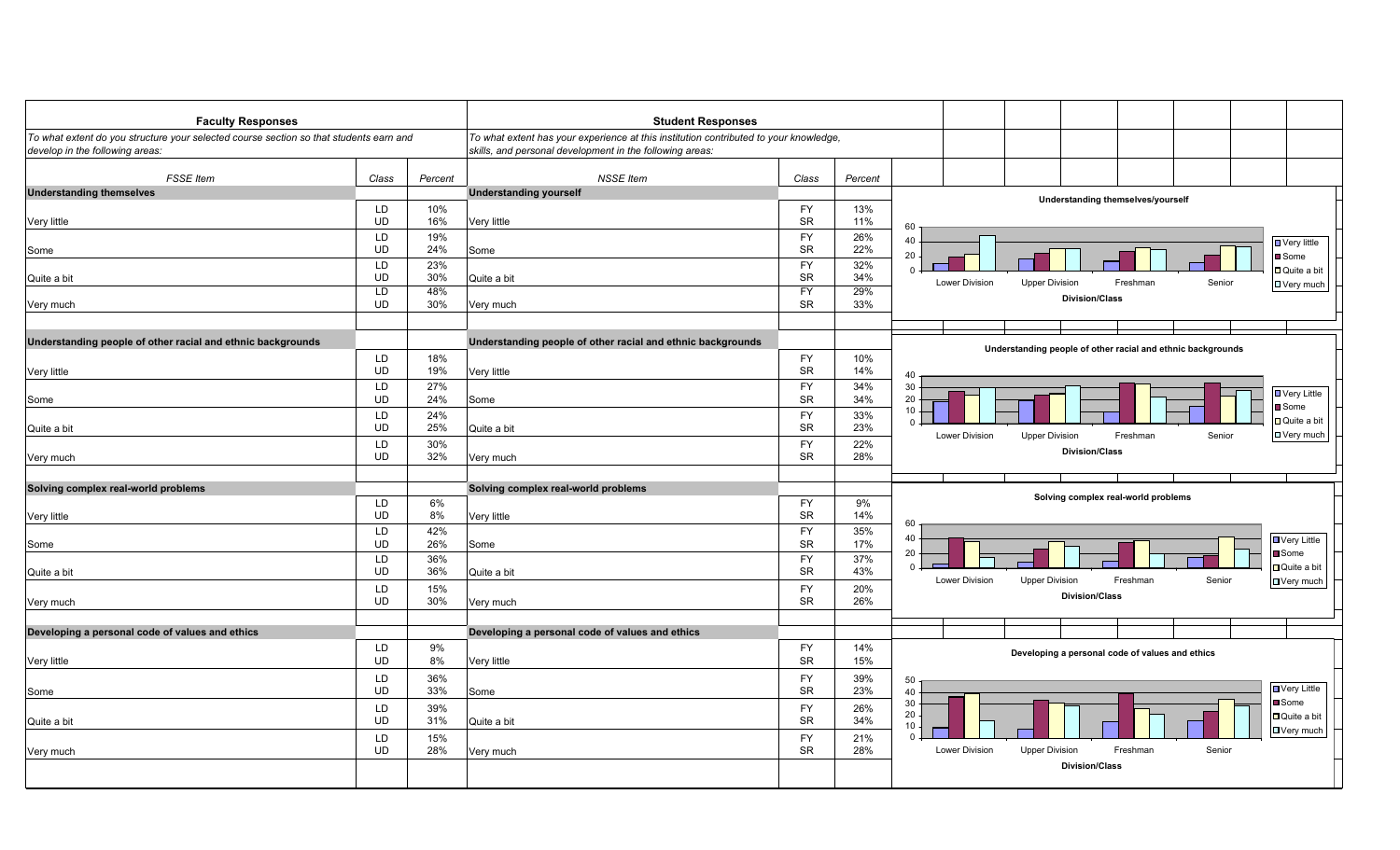| <b>Faculty Responses</b>                                                                                                  |           |         | <b>Student Responses</b>                                                                                                                          |           |         |                                                                                   |
|---------------------------------------------------------------------------------------------------------------------------|-----------|---------|---------------------------------------------------------------------------------------------------------------------------------------------------|-----------|---------|-----------------------------------------------------------------------------------|
| To what extent do you structure your selected course section so that students earn and<br>develop in the following areas: |           |         | To what extent has your experience at this institution contributed to your knowledge,<br>skills, and personal development in the following areas: |           |         |                                                                                   |
| <b>FSSE</b> Item                                                                                                          | Class     | Percent | <b>NSSE Item</b>                                                                                                                                  | Class     | Percent |                                                                                   |
| <b>Understanding themselves</b>                                                                                           |           |         | <b>Understanding yourself</b>                                                                                                                     |           |         | Understanding themselves/yourself                                                 |
|                                                                                                                           | LD        | 10%     |                                                                                                                                                   | <b>FY</b> | 13%     |                                                                                   |
| Very little                                                                                                               | <b>UD</b> | 16%     | Very little                                                                                                                                       | <b>SR</b> | 11%     | 60                                                                                |
|                                                                                                                           | LD        | 19%     |                                                                                                                                                   | <b>FY</b> | 26%     | 40                                                                                |
| Some                                                                                                                      | <b>UD</b> | 24%     | Some                                                                                                                                              | <b>SR</b> | 22%     | <b>□ Very little</b><br>20                                                        |
|                                                                                                                           | LD        | 23%     |                                                                                                                                                   | <b>FY</b> | 32%     | Some<br>$\Omega$                                                                  |
| Quite a bit                                                                                                               | <b>UD</b> | 30%     | Quite a bit                                                                                                                                       | <b>SR</b> | 34%     | Quite a bit<br>Lower Division<br>Freshman<br>Senior                               |
|                                                                                                                           | LD        | 48%     |                                                                                                                                                   | <b>FY</b> | 29%     | D Very much<br><b>Upper Division</b>                                              |
| Very much                                                                                                                 | <b>UD</b> | 30%     | Very much                                                                                                                                         | SR        | 33%     | <b>Division/Class</b>                                                             |
|                                                                                                                           |           |         |                                                                                                                                                   |           |         |                                                                                   |
|                                                                                                                           |           |         |                                                                                                                                                   |           |         |                                                                                   |
| Understanding people of other racial and ethnic backgrounds                                                               |           |         | Understanding people of other racial and ethnic backgrounds                                                                                       |           |         | Understanding people of other racial and ethnic backgrounds                       |
|                                                                                                                           | LD        | 18%     |                                                                                                                                                   | <b>FY</b> | 10%     |                                                                                   |
| Very little                                                                                                               | UD        | 19%     | Very little                                                                                                                                       | <b>SR</b> | 14%     | 40                                                                                |
|                                                                                                                           | LD        | 27%     |                                                                                                                                                   | <b>FY</b> | 34%     | 30                                                                                |
| Some                                                                                                                      | <b>UD</b> | 24%     | Some                                                                                                                                              | <b>SR</b> | 34%     | <b>□</b> Very Little<br>20                                                        |
|                                                                                                                           | LD        | 24%     |                                                                                                                                                   | <b>FY</b> | 33%     | Some<br>10                                                                        |
| Quite a bit                                                                                                               | <b>UD</b> | 25%     | Quite a bit                                                                                                                                       | <b>SR</b> | 23%     | Quite a bit<br>$\Omega$                                                           |
|                                                                                                                           | LD        | 30%     |                                                                                                                                                   | <b>FY</b> | 22%     | $\Box$ Very much<br>Lower Division<br><b>Upper Division</b><br>Freshman<br>Senior |
|                                                                                                                           | <b>UD</b> | 32%     |                                                                                                                                                   | <b>SR</b> | 28%     | <b>Division/Class</b>                                                             |
| Very much                                                                                                                 |           |         | Very much                                                                                                                                         |           |         |                                                                                   |
|                                                                                                                           |           |         |                                                                                                                                                   |           |         |                                                                                   |
| Solving complex real-world problems                                                                                       |           |         | Solving complex real-world problems                                                                                                               |           |         | Solving complex real-world problems                                               |
|                                                                                                                           | LD        | 6%      |                                                                                                                                                   | <b>FY</b> | 9%      |                                                                                   |
| Very little                                                                                                               | <b>UD</b> | 8%      | Very little                                                                                                                                       | <b>SR</b> | 14%     | 60                                                                                |
|                                                                                                                           | LD        | 42%     |                                                                                                                                                   | <b>FY</b> | 35%     | 40<br><b>U</b> Very Little                                                        |
| Some                                                                                                                      | <b>UD</b> | 26%     | Some                                                                                                                                              | <b>SR</b> | 17%     | 20<br><b>Some</b>                                                                 |
|                                                                                                                           | LD        | 36%     |                                                                                                                                                   | <b>FY</b> | 37%     | □ Quite a bit<br>$\overline{0}$                                                   |
| Quite a bit                                                                                                               | <b>UD</b> | 36%     | Quite a bit                                                                                                                                       | <b>SR</b> | 43%     | Senior<br>Lower Division<br>Freshman                                              |
|                                                                                                                           | LD        | 15%     |                                                                                                                                                   | <b>FY</b> | 20%     | <b>Upper Division</b><br>□ Very much                                              |
| Very much                                                                                                                 | UD        | 30%     | Very much                                                                                                                                         | <b>SR</b> | 26%     | <b>Division/Class</b>                                                             |
|                                                                                                                           |           |         |                                                                                                                                                   |           |         |                                                                                   |
| Developing a personal code of values and ethics                                                                           |           |         | Developing a personal code of values and ethics                                                                                                   |           |         |                                                                                   |
|                                                                                                                           | LD        | 9%      |                                                                                                                                                   | <b>FY</b> | 14%     |                                                                                   |
| Very little                                                                                                               | <b>UD</b> | 8%      | Very little                                                                                                                                       | <b>SR</b> | 15%     | Developing a personal code of values and ethics                                   |
|                                                                                                                           |           |         |                                                                                                                                                   |           |         |                                                                                   |
|                                                                                                                           | LD        | 36%     |                                                                                                                                                   | <b>FY</b> | 39%     | 50<br>■ Very Little                                                               |
| Some                                                                                                                      | <b>UD</b> | 33%     | Some                                                                                                                                              | <b>SR</b> | 23%     | 40<br>30<br>Some                                                                  |
|                                                                                                                           | LD        | 39%     |                                                                                                                                                   | <b>FY</b> | 26%     | 20<br>□ Quite a bit                                                               |
| Quite a bit                                                                                                               | UD        | 31%     | Quite a bit                                                                                                                                       | <b>SR</b> | 34%     | 10                                                                                |
|                                                                                                                           | LD        | 15%     |                                                                                                                                                   | <b>FY</b> | 21%     | □ Very much<br>$\Omega$                                                           |
| Very much                                                                                                                 | <b>UD</b> | 28%     | Very much                                                                                                                                         | <b>SR</b> | 28%     | Lower Division<br>Freshman<br>Senior<br><b>Upper Division</b>                     |
|                                                                                                                           |           |         |                                                                                                                                                   |           |         | <b>Division/Class</b>                                                             |
|                                                                                                                           |           |         |                                                                                                                                                   |           |         |                                                                                   |
|                                                                                                                           |           |         |                                                                                                                                                   |           |         |                                                                                   |